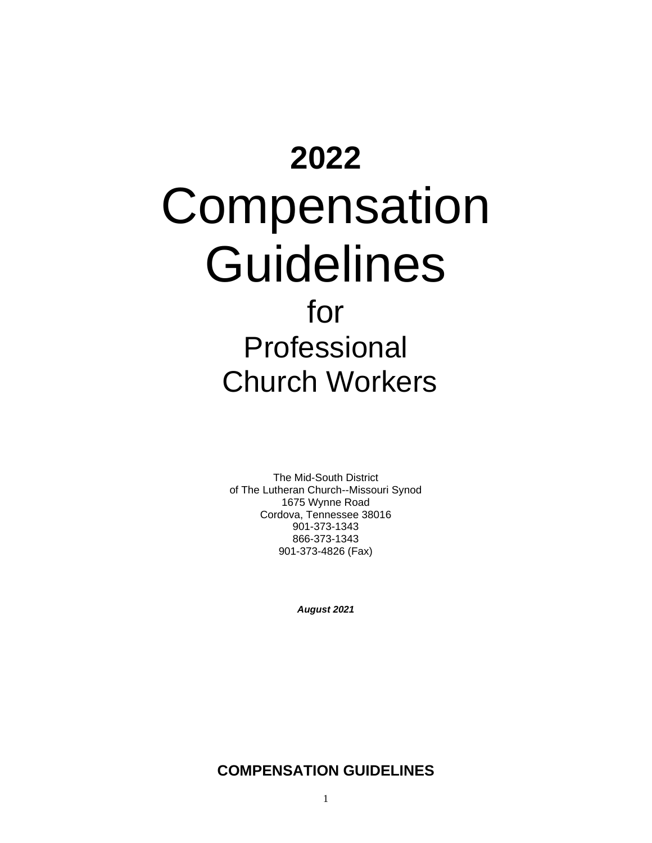# **2022** Compensation **Guidelines** for Professional Church Workers

The Mid-South District of The Lutheran Church--Missouri Synod 1675 Wynne Road Cordova, Tennessee 38016 901-373-1343 866-373-1343 901-373-4826 (Fax)

*August 2021*

# **COMPENSATION GUIDELINES**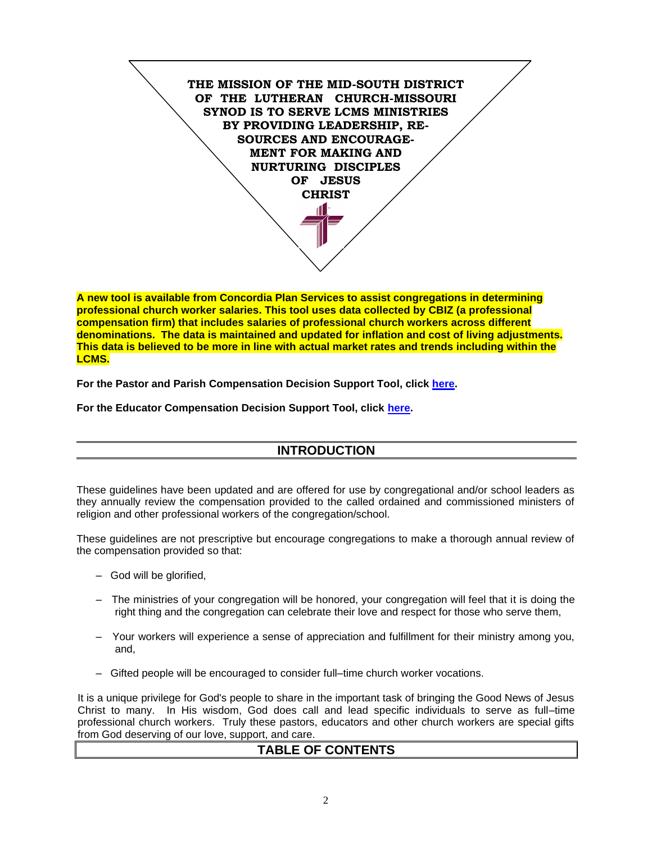

**A new tool is available from Concordia Plan Services to assist congregations in determining professional church worker salaries. This tool uses data collected by CBIZ (a professional compensation firm) that includes salaries of professional church workers across different denominations. The data is maintained and updated for inflation and cost of living adjustments. This data is believed to be more in line with actual market rates and trends including within the LCMS.** 

**For the Pastor and Parish Compensation Decision Support Tool, click [here.](https://tc.cbiz.com/CompToolCPS/Login.aspx)**

**For the Educator Compensation Decision Support Tool, click [here.](https://tc.cbiz.com/CompToolCPSEd/Login.aspx)** 

# **INTRODUCTION**

These guidelines have been updated and are offered for use by congregational and/or school leaders as they annually review the compensation provided to the called ordained and commissioned ministers of religion and other professional workers of the congregation/school.

These guidelines are not prescriptive but encourage congregations to make a thorough annual review of the compensation provided so that:

- God will be glorified,
- The ministries of your congregation will be honored, your congregation will feel that it is doing the right thing and the congregation can celebrate their love and respect for those who serve them,
- Your workers will experience a sense of appreciation and fulfillment for their ministry among you, and,
- Gifted people will be encouraged to consider full–time church worker vocations.

It is a unique privilege for God's people to share in the important task of bringing the Good News of Jesus Christ to many. In His wisdom, God does call and lead specific individuals to serve as full–time professional church workers. Truly these pastors, educators and other church workers are special gifts from God deserving of our love, support, and care.

### **TABLE OF CONTENTS**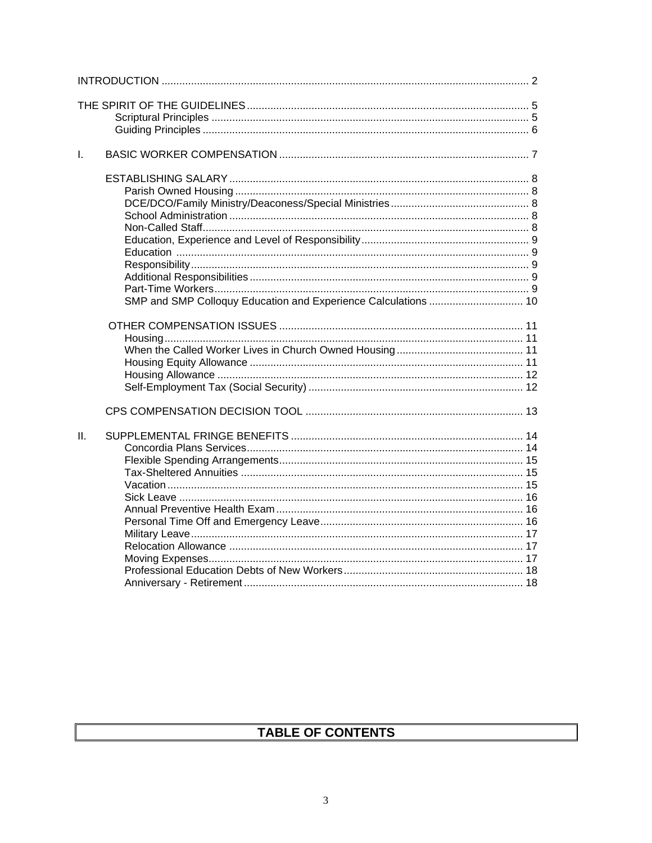| $\mathbf{L}$ |                                                                |
|--------------|----------------------------------------------------------------|
|              | SMP and SMP Colloquy Education and Experience Calculations  10 |
|              |                                                                |
| H.           |                                                                |

# TABLE OF CONTENTS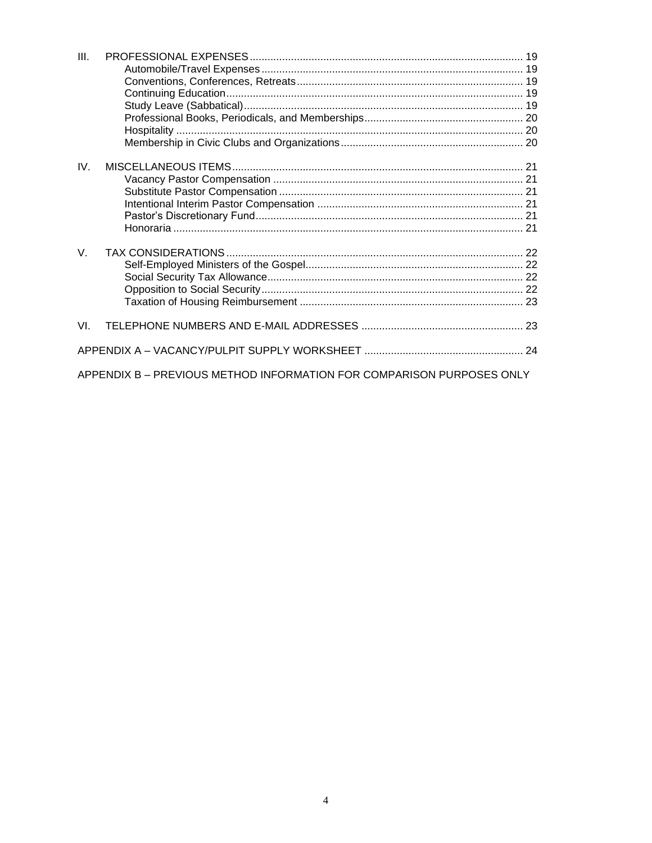| III.        |                                                                       |  |  |  |  |
|-------------|-----------------------------------------------------------------------|--|--|--|--|
|             |                                                                       |  |  |  |  |
|             |                                                                       |  |  |  |  |
|             |                                                                       |  |  |  |  |
|             |                                                                       |  |  |  |  |
|             |                                                                       |  |  |  |  |
|             |                                                                       |  |  |  |  |
|             |                                                                       |  |  |  |  |
|             |                                                                       |  |  |  |  |
| IV.         |                                                                       |  |  |  |  |
|             |                                                                       |  |  |  |  |
|             |                                                                       |  |  |  |  |
|             |                                                                       |  |  |  |  |
|             |                                                                       |  |  |  |  |
|             |                                                                       |  |  |  |  |
|             |                                                                       |  |  |  |  |
| $V_{\rm r}$ |                                                                       |  |  |  |  |
|             |                                                                       |  |  |  |  |
|             |                                                                       |  |  |  |  |
|             |                                                                       |  |  |  |  |
|             |                                                                       |  |  |  |  |
|             |                                                                       |  |  |  |  |
|             |                                                                       |  |  |  |  |
| VL.         |                                                                       |  |  |  |  |
|             |                                                                       |  |  |  |  |
|             |                                                                       |  |  |  |  |
|             | APPENDIX B - PREVIOUS METHOD INFORMATION FOR COMPARISON PURPOSES ONLY |  |  |  |  |
|             |                                                                       |  |  |  |  |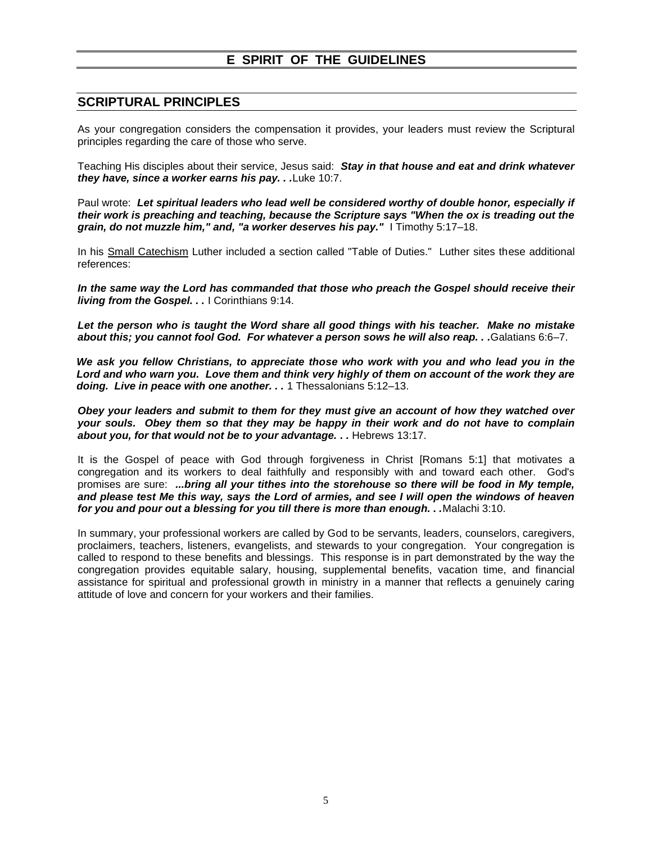# **E SPIRIT OF THE GUIDELINES**

#### **SCRIPTURAL PRINCIPLES**

As your congregation considers the compensation it provides, your leaders must review the Scriptural principles regarding the care of those who serve.

Teaching His disciples about their service, Jesus said: *Stay in that house and eat and drink whatever they have, since a worker earns his pay. . .*Luke 10:7.

Paul wrote: *Let spiritual leaders who lead well be considered worthy of double honor, especially if their work is preaching and teaching, because the Scripture says "When the ox is treading out the grain, do not muzzle him," and, "a worker deserves his pay."* I Timothy 5:17–18.

In his Small Catechism Luther included a section called "Table of Duties." Luther sites these additional references:

*In the same way the Lord has commanded that those who preach the Gospel should receive their living from the Gospel. . .* I Corinthians 9:14.

*Let the person who is taught the Word share all good things with his teacher. Make no mistake about this; you cannot fool God. For whatever a person sows he will also reap. . .*Galatians 6:6–7.

*We ask you fellow Christians, to appreciate those who work with you and who lead you in the Lord and who warn you. Love them and think very highly of them on account of the work they are doing. Live in peace with one another. . .* 1 Thessalonians 5:12–13.

*Obey your leaders and submit to them for they must give an account of how they watched over your souls. Obey them so that they may be happy in their work and do not have to complain about you, for that would not be to your advantage. . .* Hebrews 13:17.

It is the Gospel of peace with God through forgiveness in Christ [Romans 5:1] that motivates a congregation and its workers to deal faithfully and responsibly with and toward each other. God's promises are sure: *...bring all your tithes into the storehouse so there will be food in My temple, and please test Me this way, says the Lord of armies, and see I will open the windows of heaven for you and pour out a blessing for you till there is more than enough. . .*Malachi 3:10.

In summary, your professional workers are called by God to be servants, leaders, counselors, caregivers, proclaimers, teachers, listeners, evangelists, and stewards to your congregation. Your congregation is called to respond to these benefits and blessings. This response is in part demonstrated by the way the congregation provides equitable salary, housing, supplemental benefits, vacation time, and financial assistance for spiritual and professional growth in ministry in a manner that reflects a genuinely caring attitude of love and concern for your workers and their families.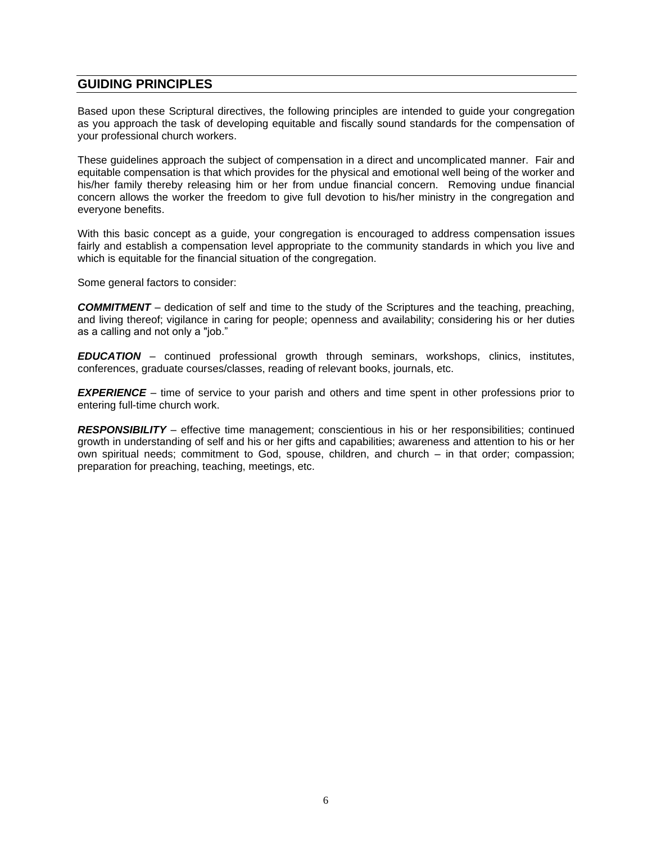## **GUIDING PRINCIPLES**

Based upon these Scriptural directives, the following principles are intended to guide your congregation as you approach the task of developing equitable and fiscally sound standards for the compensation of your professional church workers.

These guidelines approach the subject of compensation in a direct and uncomplicated manner. Fair and equitable compensation is that which provides for the physical and emotional well being of the worker and his/her family thereby releasing him or her from undue financial concern. Removing undue financial concern allows the worker the freedom to give full devotion to his/her ministry in the congregation and everyone benefits.

With this basic concept as a guide, your congregation is encouraged to address compensation issues fairly and establish a compensation level appropriate to the community standards in which you live and which is equitable for the financial situation of the congregation.

Some general factors to consider:

*COMMITMENT* – dedication of self and time to the study of the Scriptures and the teaching, preaching, and living thereof; vigilance in caring for people; openness and availability; considering his or her duties as a calling and not only a "job."

*EDUCATION* – continued professional growth through seminars, workshops, clinics, institutes, conferences, graduate courses/classes, reading of relevant books, journals, etc.

*EXPERIENCE* – time of service to your parish and others and time spent in other professions prior to entering full-time church work.

*RESPONSIBILITY* – effective time management; conscientious in his or her responsibilities; continued growth in understanding of self and his or her gifts and capabilities; awareness and attention to his or her own spiritual needs; commitment to God, spouse, children, and church – in that order; compassion; preparation for preaching, teaching, meetings, etc.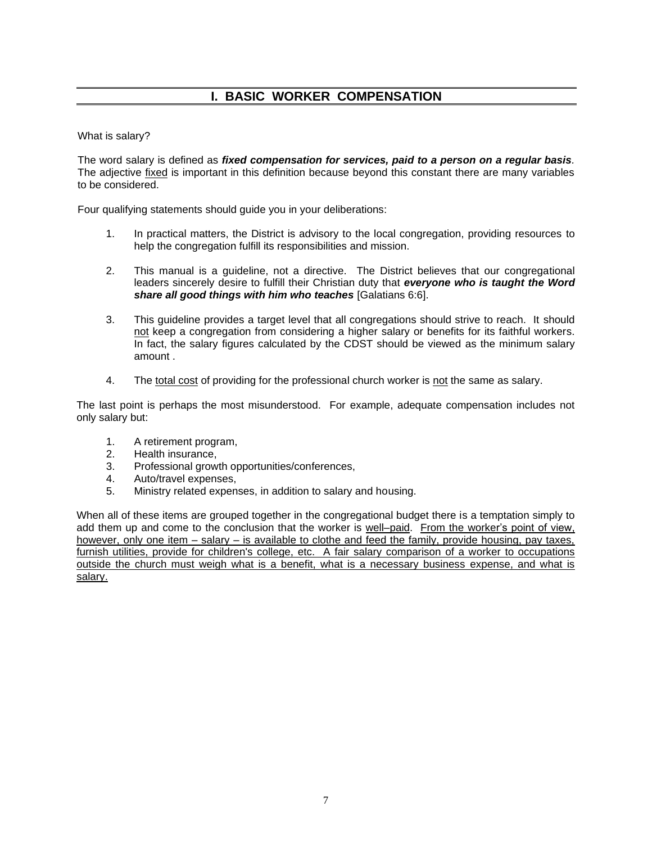# **I. BASIC WORKER COMPENSATION**

What is salary?

The word salary is defined as *fixed compensation for services, paid to a person on a regular basis.* The adjective fixed is important in this definition because beyond this constant there are many variables to be considered.

Four qualifying statements should guide you in your deliberations:

- 1. In practical matters, the District is advisory to the local congregation, providing resources to help the congregation fulfill its responsibilities and mission.
- 2. This manual is a guideline, not a directive. The District believes that our congregational leaders sincerely desire to fulfill their Christian duty that *everyone who is taught the Word share all good things with him who teaches* [Galatians 6:6].
- 3. This guideline provides a target level that all congregations should strive to reach. It should not keep a congregation from considering a higher salary or benefits for its faithful workers. In fact, the salary figures calculated by the CDST should be viewed as the minimum salary amount .
- 4. The total cost of providing for the professional church worker is not the same as salary.

The last point is perhaps the most misunderstood. For example, adequate compensation includes not only salary but:

- 1. A retirement program,
- 2. Health insurance,
- 3. Professional growth opportunities/conferences,
- 4. Auto/travel expenses,
- 5. Ministry related expenses, in addition to salary and housing.

When all of these items are grouped together in the congregational budget there is a temptation simply to add them up and come to the conclusion that the worker is well–paid. From the worker's point of view, however, only one item – salary – is available to clothe and feed the family, provide housing, pay taxes, furnish utilities, provide for children's college, etc. A fair salary comparison of a worker to occupations outside the church must weigh what is a benefit, what is a necessary business expense, and what is salary.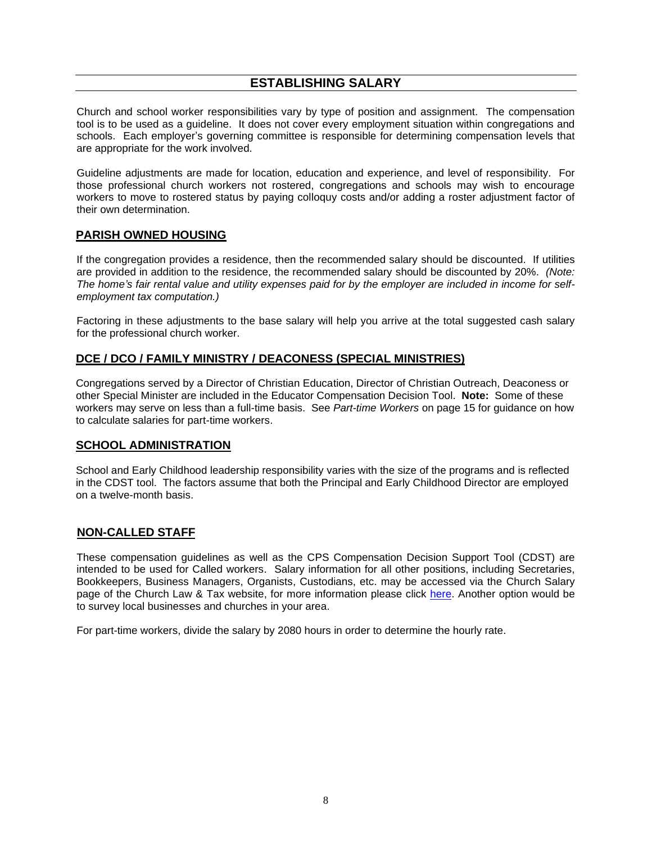# **ESTABLISHING SALARY**

Church and school worker responsibilities vary by type of position and assignment. The compensation tool is to be used as a guideline. It does not cover every employment situation within congregations and schools. Each employer's governing committee is responsible for determining compensation levels that are appropriate for the work involved.

Guideline adjustments are made for location, education and experience, and level of responsibility. For those professional church workers not rostered, congregations and schools may wish to encourage workers to move to rostered status by paying colloquy costs and/or adding a roster adjustment factor of their own determination.

#### **PARISH OWNED HOUSING**

If the congregation provides a residence, then the recommended salary should be discounted. If utilities are provided in addition to the residence, the recommended salary should be discounted by 20%. *(Note: The home's fair rental value and utility expenses paid for by the employer are included in income for selfemployment tax computation.)*

Factoring in these adjustments to the base salary will help you arrive at the total suggested cash salary for the professional church worker.

#### **DCE / DCO / FAMILY MINISTRY / DEACONESS (SPECIAL MINISTRIES)**

Congregations served by a Director of Christian Education, Director of Christian Outreach, Deaconess or other Special Minister are included in the Educator Compensation Decision Tool. **Note:** Some of these workers may serve on less than a full-time basis. See *Part-time Workers* on page 15 for guidance on how to calculate salaries for part-time workers.

#### **SCHOOL ADMINISTRATION**

School and Early Childhood leadership responsibility varies with the size of the programs and is reflected in the CDST tool. The factors assume that both the Principal and Early Childhood Director are employed on a twelve-month basis.

#### **NON-CALLED STAFF**

These compensation guidelines as well as the CPS Compensation Decision Support Tool (CDST) are intended to be used for Called workers. Salary information for all other positions, including Secretaries, Bookkeepers, Business Managers, Organists, Custodians, etc. may be accessed via the Church Salary page of the Church Law & Tax website, for more information please click [here.](https://www.churchlawandtax.com/salary/) Another option would be to survey local businesses and churches in your area.

For part-time workers, divide the salary by 2080 hours in order to determine the hourly rate.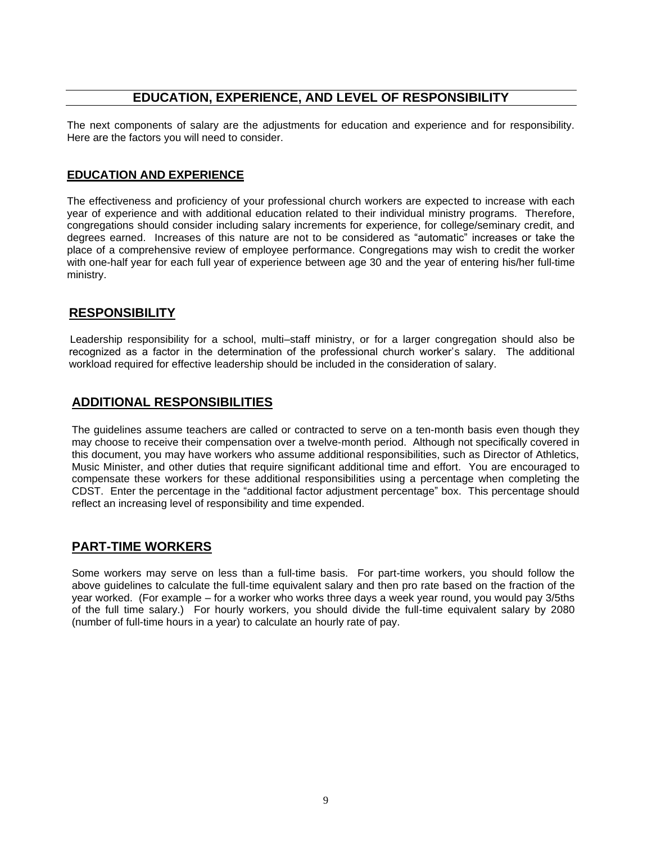#### **EDUCATION, EXPERIENCE, AND LEVEL OF RESPONSIBILITY**

The next components of salary are the adjustments for education and experience and for responsibility. Here are the factors you will need to consider.

#### **EDUCATION AND EXPERIENCE**

The effectiveness and proficiency of your professional church workers are expected to increase with each year of experience and with additional education related to their individual ministry programs. Therefore, congregations should consider including salary increments for experience, for college/seminary credit, and degrees earned. Increases of this nature are not to be considered as "automatic" increases or take the place of a comprehensive review of employee performance. Congregations may wish to credit the worker with one-half year for each full year of experience between age 30 and the year of entering his/her full-time ministry.

### **RESPONSIBILITY**

Leadership responsibility for a school, multi–staff ministry, or for a larger congregation should also be recognized as a factor in the determination of the professional church worker's salary. The additional workload required for effective leadership should be included in the consideration of salary.

# **ADDITIONAL RESPONSIBILITIES**

The guidelines assume teachers are called or contracted to serve on a ten-month basis even though they may choose to receive their compensation over a twelve-month period. Although not specifically covered in this document, you may have workers who assume additional responsibilities, such as Director of Athletics, Music Minister, and other duties that require significant additional time and effort. You are encouraged to compensate these workers for these additional responsibilities using a percentage when completing the CDST. Enter the percentage in the "additional factor adjustment percentage" box. This percentage should reflect an increasing level of responsibility and time expended.

# **PART-TIME WORKERS**

Some workers may serve on less than a full-time basis. For part-time workers, you should follow the above guidelines to calculate the full-time equivalent salary and then pro rate based on the fraction of the year worked. (For example – for a worker who works three days a week year round, you would pay 3/5ths of the full time salary.) For hourly workers, you should divide the full-time equivalent salary by 2080 (number of full-time hours in a year) to calculate an hourly rate of pay.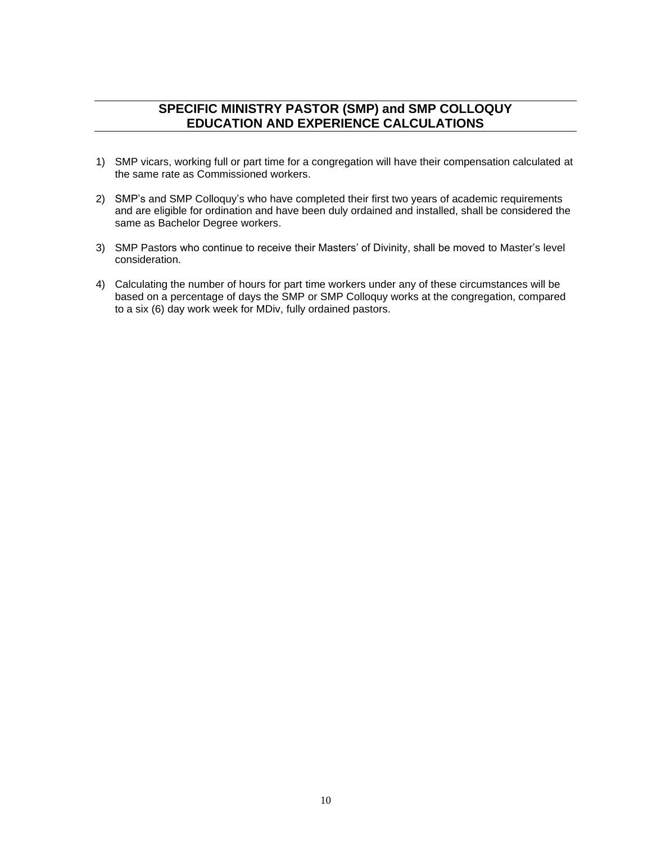# **SPECIFIC MINISTRY PASTOR (SMP) and SMP COLLOQUY EDUCATION AND EXPERIENCE CALCULATIONS**

- 1) SMP vicars, working full or part time for a congregation will have their compensation calculated at the same rate as Commissioned workers.
- 2) SMP's and SMP Colloquy's who have completed their first two years of academic requirements and are eligible for ordination and have been duly ordained and installed, shall be considered the same as Bachelor Degree workers.
- 3) SMP Pastors who continue to receive their Masters' of Divinity, shall be moved to Master's level consideration.
- 4) Calculating the number of hours for part time workers under any of these circumstances will be based on a percentage of days the SMP or SMP Colloquy works at the congregation, compared to a six (6) day work week for MDiv, fully ordained pastors.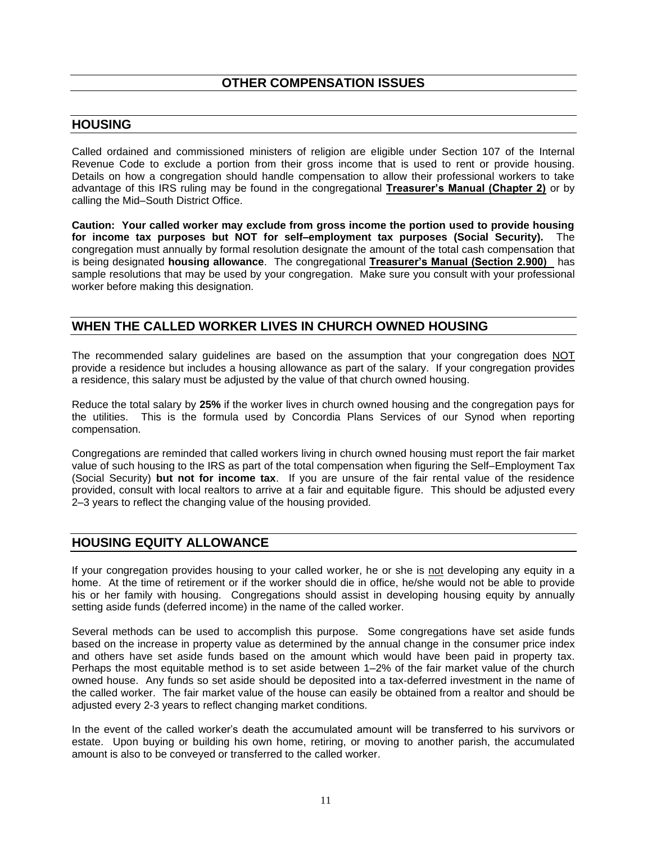## **HOUSING**

Called ordained and commissioned ministers of religion are eligible under Section 107 of the Internal Revenue Code to exclude a portion from their gross income that is used to rent or provide housing. Details on how a congregation should handle compensation to allow their professional workers to take advantage of this IRS ruling may be found in the congregational **Treasurer's Manual (Chapter 2)** or by calling the Mid–South District Office.

**Caution: Your called worker may exclude from gross income the portion used to provide housing for income tax purposes but NOT for self–employment tax purposes (Social Security).** The congregation must annually by formal resolution designate the amount of the total cash compensation that is being designated **housing allowance**. The congregational **Treasurer's Manual (Section 2.900)** has sample resolutions that may be used by your congregation. Make sure you consult with your professional worker before making this designation.

# **WHEN THE CALLED WORKER LIVES IN CHURCH OWNED HOUSING**

The recommended salary guidelines are based on the assumption that your congregation does NOT provide a residence but includes a housing allowance as part of the salary. If your congregation provides a residence, this salary must be adjusted by the value of that church owned housing.

Reduce the total salary by **25%** if the worker lives in church owned housing and the congregation pays for the utilities. This is the formula used by Concordia Plans Services of our Synod when reporting compensation.

Congregations are reminded that called workers living in church owned housing must report the fair market value of such housing to the IRS as part of the total compensation when figuring the Self–Employment Tax (Social Security) **but not for income tax**. If you are unsure of the fair rental value of the residence provided, consult with local realtors to arrive at a fair and equitable figure. This should be adjusted every 2–3 years to reflect the changing value of the housing provided.

### **HOUSING EQUITY ALLOWANCE**

If your congregation provides housing to your called worker, he or she is not developing any equity in a home. At the time of retirement or if the worker should die in office, he/she would not be able to provide his or her family with housing. Congregations should assist in developing housing equity by annually setting aside funds (deferred income) in the name of the called worker.

Several methods can be used to accomplish this purpose. Some congregations have set aside funds based on the increase in property value as determined by the annual change in the consumer price index and others have set aside funds based on the amount which would have been paid in property tax. Perhaps the most equitable method is to set aside between 1–2% of the fair market value of the church owned house. Any funds so set aside should be deposited into a tax-deferred investment in the name of the called worker. The fair market value of the house can easily be obtained from a realtor and should be adjusted every 2-3 years to reflect changing market conditions.

In the event of the called worker's death the accumulated amount will be transferred to his survivors or estate. Upon buying or building his own home, retiring, or moving to another parish, the accumulated amount is also to be conveyed or transferred to the called worker.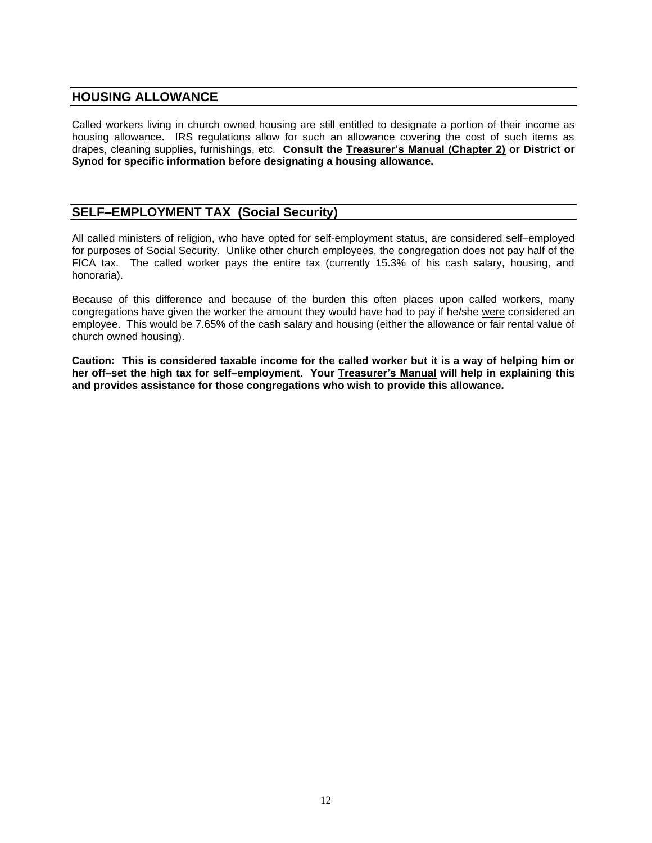#### **HOUSING ALLOWANCE**

Called workers living in church owned housing are still entitled to designate a portion of their income as housing allowance. IRS regulations allow for such an allowance covering the cost of such items as drapes, cleaning supplies, furnishings, etc. **Consult the Treasurer's Manual (Chapter 2) or District or Synod for specific information before designating a housing allowance.**

## **SELF–EMPLOYMENT TAX (Social Security)**

All called ministers of religion, who have opted for self-employment status, are considered self–employed for purposes of Social Security. Unlike other church employees, the congregation does not pay half of the FICA tax. The called worker pays the entire tax (currently 15.3% of his cash salary, housing, and honoraria).

Because of this difference and because of the burden this often places upon called workers, many congregations have given the worker the amount they would have had to pay if he/she were considered an employee. This would be 7.65% of the cash salary and housing (either the allowance or fair rental value of church owned housing).

**Caution: This is considered taxable income for the called worker but it is a way of helping him or her off–set the high tax for self–employment. Your Treasurer's Manual will help in explaining this and provides assistance for those congregations who wish to provide this allowance.**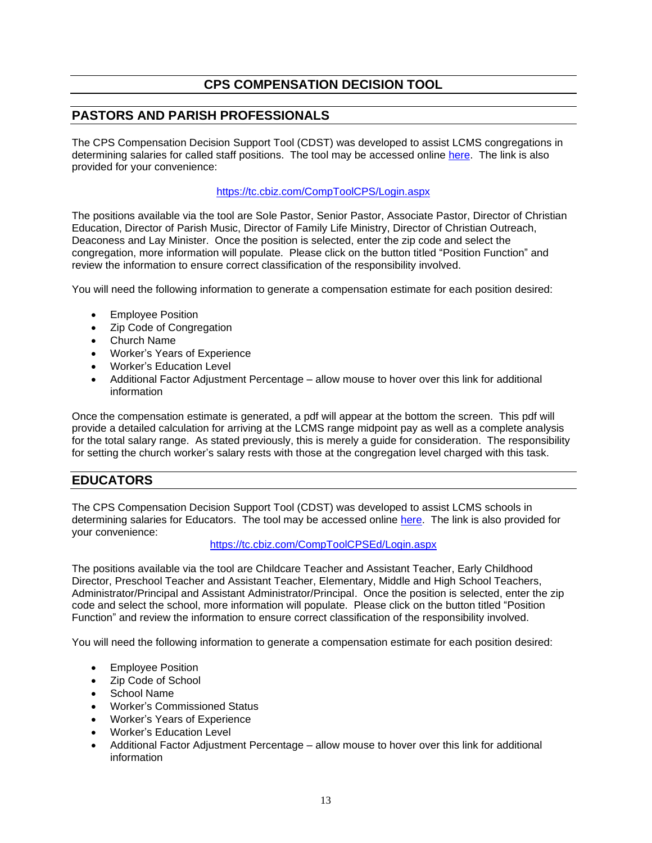# **CPS COMPENSATION DECISION TOOL**

# **PASTORS AND PARISH PROFESSIONALS**

The CPS Compensation Decision Support Tool (CDST) was developed to assist LCMS congregations in determining salaries for called staff positions. The tool may be accessed online [here.](https://tc.cbiz.com/CompToolCPS/Login.aspx) The link is also provided for your convenience:

#### <https://tc.cbiz.com/CompToolCPS/Login.aspx>

The positions available via the tool are Sole Pastor, Senior Pastor, Associate Pastor, Director of Christian Education, Director of Parish Music, Director of Family Life Ministry, Director of Christian Outreach, Deaconess and Lay Minister. Once the position is selected, enter the zip code and select the congregation, more information will populate. Please click on the button titled "Position Function" and review the information to ensure correct classification of the responsibility involved.

You will need the following information to generate a compensation estimate for each position desired:

- Employee Position
- Zip Code of Congregation
- Church Name
- Worker's Years of Experience
- Worker's Education Level
- Additional Factor Adjustment Percentage allow mouse to hover over this link for additional information

Once the compensation estimate is generated, a pdf will appear at the bottom the screen. This pdf will provide a detailed calculation for arriving at the LCMS range midpoint pay as well as a complete analysis for the total salary range. As stated previously, this is merely a guide for consideration. The responsibility for setting the church worker's salary rests with those at the congregation level charged with this task.

# **EDUCATORS**

The CPS Compensation Decision Support Tool (CDST) was developed to assist LCMS schools in determining salaries for Educators. The tool may be accessed online [here.](https://tc.cbiz.com/CompToolCPSEd/Login.aspx) The link is also provided for your convenience:

#### <https://tc.cbiz.com/CompToolCPSEd/Login.aspx>

The positions available via the tool are Childcare Teacher and Assistant Teacher, Early Childhood Director, Preschool Teacher and Assistant Teacher, Elementary, Middle and High School Teachers, Administrator/Principal and Assistant Administrator/Principal. Once the position is selected, enter the zip code and select the school, more information will populate. Please click on the button titled "Position Function" and review the information to ensure correct classification of the responsibility involved.

You will need the following information to generate a compensation estimate for each position desired:

- Employee Position
- Zip Code of School
- School Name
- Worker's Commissioned Status
- Worker's Years of Experience
- Worker's Education Level
- Additional Factor Adjustment Percentage allow mouse to hover over this link for additional information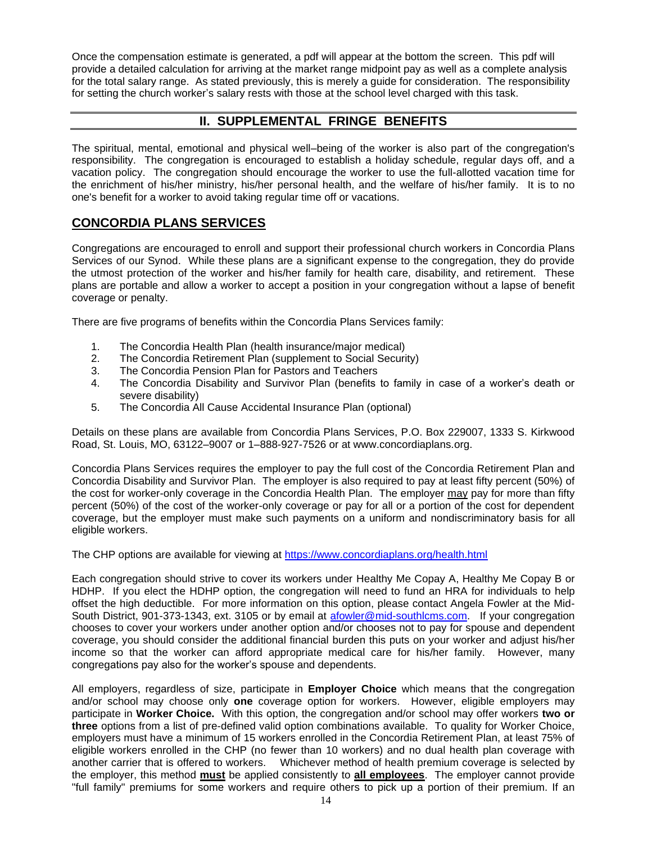Once the compensation estimate is generated, a pdf will appear at the bottom the screen. This pdf will provide a detailed calculation for arriving at the market range midpoint pay as well as a complete analysis for the total salary range. As stated previously, this is merely a guide for consideration. The responsibility for setting the church worker's salary rests with those at the school level charged with this task.

# **II. SUPPLEMENTAL FRINGE BENEFITS**

The spiritual, mental, emotional and physical well–being of the worker is also part of the congregation's responsibility. The congregation is encouraged to establish a holiday schedule, regular days off, and a vacation policy. The congregation should encourage the worker to use the full-allotted vacation time for the enrichment of his/her ministry, his/her personal health, and the welfare of his/her family. It is to no one's benefit for a worker to avoid taking regular time off or vacations.

# **CONCORDIA PLANS SERVICES**

Congregations are encouraged to enroll and support their professional church workers in Concordia Plans Services of our Synod. While these plans are a significant expense to the congregation, they do provide the utmost protection of the worker and his/her family for health care, disability, and retirement. These plans are portable and allow a worker to accept a position in your congregation without a lapse of benefit coverage or penalty.

There are five programs of benefits within the Concordia Plans Services family:

- 1. The Concordia Health Plan (health insurance/major medical)
- 2. The Concordia Retirement Plan (supplement to Social Security)
- 3. The Concordia Pension Plan for Pastors and Teachers
- 4. The Concordia Disability and Survivor Plan (benefits to family in case of a worker's death or severe disability)
- 5. The Concordia All Cause Accidental Insurance Plan (optional)

Details on these plans are available from Concordia Plans Services, P.O. Box 229007, 1333 S. Kirkwood Road, St. Louis, MO, 63122–9007 or 1–888-927-7526 or at www.concordiaplans.org.

Concordia Plans Services requires the employer to pay the full cost of the Concordia Retirement Plan and Concordia Disability and Survivor Plan. The employer is also required to pay at least fifty percent (50%) of the cost for worker-only coverage in the Concordia Health Plan. The employer may pay for more than fifty percent (50%) of the cost of the worker-only coverage or pay for all or a portion of the cost for dependent coverage, but the employer must make such payments on a uniform and nondiscriminatory basis for all eligible workers.

The CHP options are available for viewing at<https://www.concordiaplans.org/health.html>

Each congregation should strive to cover its workers under Healthy Me Copay A, Healthy Me Copay B or HDHP. If you elect the HDHP option, the congregation will need to fund an HRA for individuals to help offset the high deductible. For more information on this option, please contact Angela Fowler at the Mid-South District, 901-373-1343, ext. 3105 or by email at [afowler@mid-southlcms.com.](mailto:afowler@mid-southlcms.com) If your congregation chooses to cover your workers under another option and/or chooses not to pay for spouse and dependent coverage, you should consider the additional financial burden this puts on your worker and adjust his/her income so that the worker can afford appropriate medical care for his/her family. However, many congregations pay also for the worker's spouse and dependents.

All employers, regardless of size, participate in **Employer Choice** which means that the congregation and/or school may choose only **one** coverage option for workers. However, eligible employers may participate in **Worker Choice.** With this option, the congregation and/or school may offer workers **two or three** options from a list of pre-defined valid option combinations available. To quality for Worker Choice, employers must have a minimum of 15 workers enrolled in the Concordia Retirement Plan, at least 75% of eligible workers enrolled in the CHP (no fewer than 10 workers) and no dual health plan coverage with another carrier that is offered to workers. Whichever method of health premium coverage is selected by the employer, this method **must** be applied consistently to **all employees**. The employer cannot provide "full family" premiums for some workers and require others to pick up a portion of their premium. If an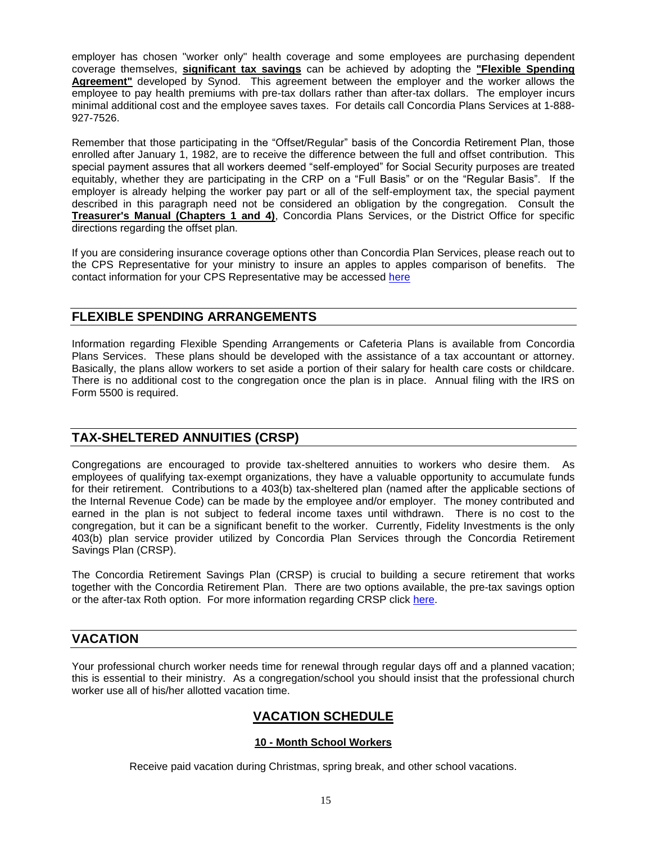employer has chosen "worker only" health coverage and some employees are purchasing dependent coverage themselves, **significant tax savings** can be achieved by adopting the **"Flexible Spending Agreement"** developed by Synod. This agreement between the employer and the worker allows the employee to pay health premiums with pre-tax dollars rather than after-tax dollars. The employer incurs minimal additional cost and the employee saves taxes. For details call Concordia Plans Services at 1-888- 927-7526.

Remember that those participating in the "Offset/Regular" basis of the Concordia Retirement Plan, those enrolled after January 1, 1982, are to receive the difference between the full and offset contribution. This special payment assures that all workers deemed "self-employed" for Social Security purposes are treated equitably, whether they are participating in the CRP on a "Full Basis" or on the "Regular Basis". If the employer is already helping the worker pay part or all of the self-employment tax, the special payment described in this paragraph need not be considered an obligation by the congregation. Consult the **Treasurer's Manual (Chapters 1 and 4)**, Concordia Plans Services, or the District Office for specific directions regarding the offset plan.

If you are considering insurance coverage options other than Concordia Plan Services, please reach out to the CPS Representative for your ministry to insure an apples to apples comparison of benefits. The contact information for your CPS Representative may be accessed [here](file:///C:/Users/afowler/AppData/Roaming/Microsoft/CPS/2020/CPS%20Contact%20Info.pdf)

### **FLEXIBLE SPENDING ARRANGEMENTS**

Information regarding Flexible Spending Arrangements or Cafeteria Plans is available from Concordia Plans Services. These plans should be developed with the assistance of a tax accountant or attorney. Basically, the plans allow workers to set aside a portion of their salary for health care costs or childcare. There is no additional cost to the congregation once the plan is in place. Annual filing with the IRS on Form 5500 is required.

# **TAX-SHELTERED ANNUITIES (CRSP)**

Congregations are encouraged to provide tax-sheltered annuities to workers who desire them. As employees of qualifying tax-exempt organizations, they have a valuable opportunity to accumulate funds for their retirement. Contributions to a 403(b) tax-sheltered plan (named after the applicable sections of the Internal Revenue Code) can be made by the employee and/or employer. The money contributed and earned in the plan is not subject to federal income taxes until withdrawn. There is no cost to the congregation, but it can be a significant benefit to the worker. Currently, Fidelity Investments is the only 403(b) plan service provider utilized by Concordia Plan Services through the Concordia Retirement Savings Plan (CRSP).

The Concordia Retirement Savings Plan (CRSP) is crucial to building a secure retirement that works together with the Concordia Retirement Plan. There are two options available, the pre-tax savings option or the after-tax Roth option. For more information regarding CRSP click [here.](https://www.concordiaplans.org/financial-planning-retirement/concordia-retirement-savings-plan.html)

### **VACATION**

Your professional church worker needs time for renewal through regular days off and a planned vacation; this is essential to their ministry. As a congregation/school you should insist that the professional church worker use all of his/her allotted vacation time.

# **VACATION SCHEDULE**

#### **10 - Month School Workers**

Receive paid vacation during Christmas, spring break, and other school vacations.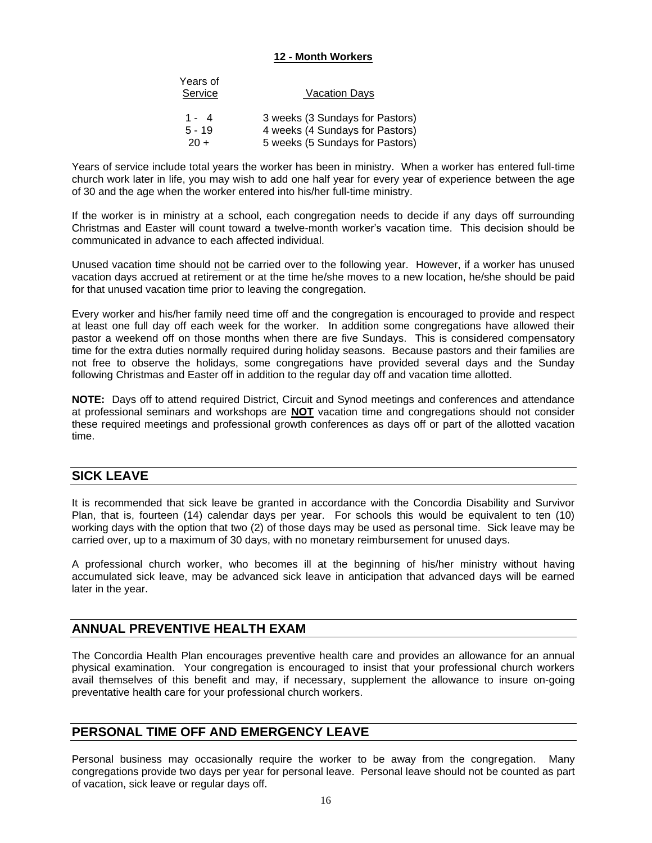#### **12 - Month Workers**

| Years of<br>Service | <u>Vacation Days</u>            |
|---------------------|---------------------------------|
| $1 - 4$             | 3 weeks (3 Sundays for Pastors) |
| $5 - 19$            | 4 weeks (4 Sundays for Pastors) |
| $20 +$              | 5 weeks (5 Sundays for Pastors) |

Years of service include total years the worker has been in ministry. When a worker has entered full-time church work later in life, you may wish to add one half year for every year of experience between the age of 30 and the age when the worker entered into his/her full-time ministry.

If the worker is in ministry at a school, each congregation needs to decide if any days off surrounding Christmas and Easter will count toward a twelve-month worker's vacation time. This decision should be communicated in advance to each affected individual.

Unused vacation time should not be carried over to the following year. However, if a worker has unused vacation days accrued at retirement or at the time he/she moves to a new location, he/she should be paid for that unused vacation time prior to leaving the congregation.

Every worker and his/her family need time off and the congregation is encouraged to provide and respect at least one full day off each week for the worker. In addition some congregations have allowed their pastor a weekend off on those months when there are five Sundays. This is considered compensatory time for the extra duties normally required during holiday seasons. Because pastors and their families are not free to observe the holidays, some congregations have provided several days and the Sunday following Christmas and Easter off in addition to the regular day off and vacation time allotted.

**NOTE:** Days off to attend required District, Circuit and Synod meetings and conferences and attendance at professional seminars and workshops are **NOT** vacation time and congregations should not consider these required meetings and professional growth conferences as days off or part of the allotted vacation time.

### **SICK LEAVE**

It is recommended that sick leave be granted in accordance with the Concordia Disability and Survivor Plan, that is, fourteen (14) calendar days per year. For schools this would be equivalent to ten (10) working days with the option that two (2) of those days may be used as personal time. Sick leave may be carried over, up to a maximum of 30 days, with no monetary reimbursement for unused days.

A professional church worker, who becomes ill at the beginning of his/her ministry without having accumulated sick leave, may be advanced sick leave in anticipation that advanced days will be earned later in the year.

### **ANNUAL PREVENTIVE HEALTH EXAM**

The Concordia Health Plan encourages preventive health care and provides an allowance for an annual physical examination. Your congregation is encouraged to insist that your professional church workers avail themselves of this benefit and may, if necessary, supplement the allowance to insure on-going preventative health care for your professional church workers.

### **PERSONAL TIME OFF AND EMERGENCY LEAVE**

Personal business may occasionally require the worker to be away from the congregation. Many congregations provide two days per year for personal leave. Personal leave should not be counted as part of vacation, sick leave or regular days off.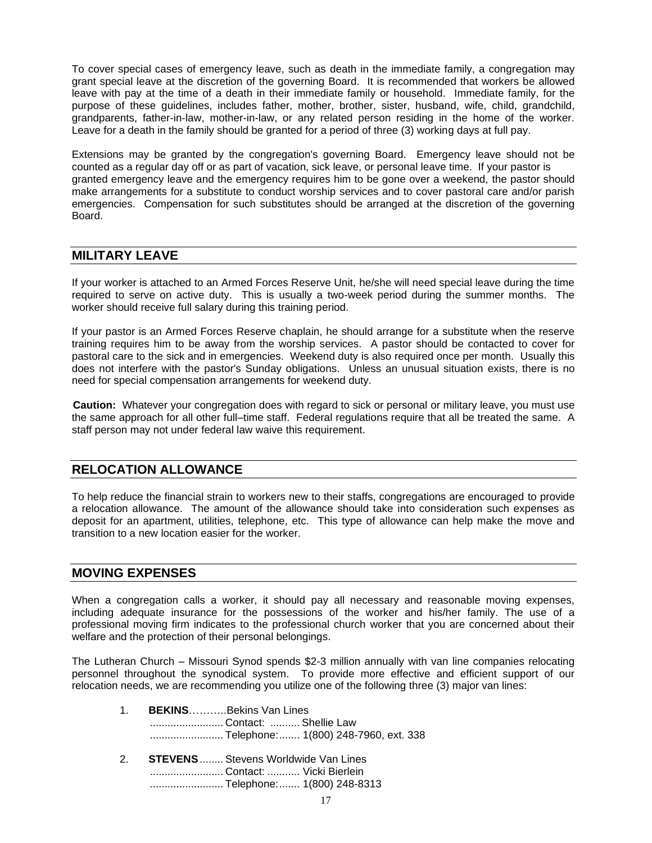To cover special cases of emergency leave, such as death in the immediate family, a congregation may grant special leave at the discretion of the governing Board. It is recommended that workers be allowed leave with pay at the time of a death in their immediate family or household. Immediate family, for the purpose of these guidelines, includes father, mother, brother, sister, husband, wife, child, grandchild, grandparents, father-in-law, mother-in-law, or any related person residing in the home of the worker. Leave for a death in the family should be granted for a period of three (3) working days at full pay.

Extensions may be granted by the congregation's governing Board. Emergency leave should not be counted as a regular day off or as part of vacation, sick leave, or personal leave time. If your pastor is granted emergency leave and the emergency requires him to be gone over a weekend, the pastor should make arrangements for a substitute to conduct worship services and to cover pastoral care and/or parish emergencies. Compensation for such substitutes should be arranged at the discretion of the governing Board.

#### **MILITARY LEAVE**

If your worker is attached to an Armed Forces Reserve Unit, he/she will need special leave during the time required to serve on active duty. This is usually a two-week period during the summer months. The worker should receive full salary during this training period.

If your pastor is an Armed Forces Reserve chaplain, he should arrange for a substitute when the reserve training requires him to be away from the worship services. A pastor should be contacted to cover for pastoral care to the sick and in emergencies. Weekend duty is also required once per month. Usually this does not interfere with the pastor's Sunday obligations. Unless an unusual situation exists, there is no need for special compensation arrangements for weekend duty.

**Caution:** Whatever your congregation does with regard to sick or personal or military leave, you must use the same approach for all other full–time staff. Federal regulations require that all be treated the same. A staff person may not under federal law waive this requirement.

### **RELOCATION ALLOWANCE**

To help reduce the financial strain to workers new to their staffs, congregations are encouraged to provide a relocation allowance. The amount of the allowance should take into consideration such expenses as deposit for an apartment, utilities, telephone, etc. This type of allowance can help make the move and transition to a new location easier for the worker.

#### **MOVING EXPENSES**

When a congregation calls a worker, it should pay all necessary and reasonable moving expenses, including adequate insurance for the possessions of the worker and his/her family. The use of a professional moving firm indicates to the professional church worker that you are concerned about their welfare and the protection of their personal belongings.

The Lutheran Church – Missouri Synod spends \$2-3 million annually with van line companies relocating personnel throughout the synodical system. To provide more effective and efficient support of our relocation needs, we are recommending you utilize one of the following three (3) major van lines:

| 1. BEKINSBekins Van Lines |                                      |  |
|---------------------------|--------------------------------------|--|
| Contact:  Shellie Law     |                                      |  |
|                           | Telephone: 1(800) 248-7960, ext. 338 |  |

2. **STEVENS**........ Stevens Worldwide Van Lines ......................... Contact: ........... Vicki Bierlein ......................... Telephone:....... 1(800) 248-8313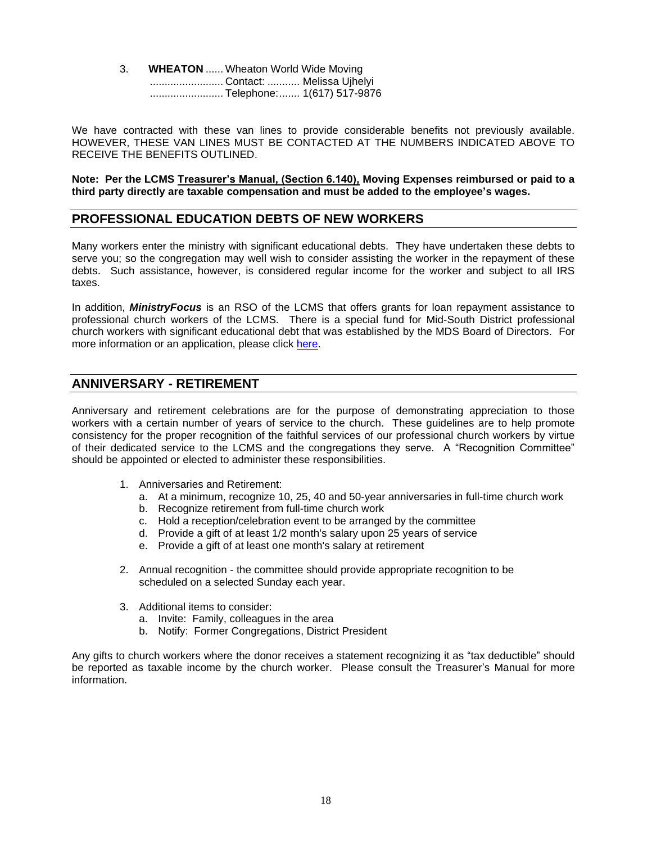3. **WHEATON** ...... Wheaton World Wide Moving ......................... Contact: ........... Melissa Ujhelyi ......................... Telephone:....... 1(617) 517-9876

We have contracted with these van lines to provide considerable benefits not previously available. HOWEVER, THESE VAN LINES MUST BE CONTACTED AT THE NUMBERS INDICATED ABOVE TO RECEIVE THE BENEFITS OUTLINED.

**Note: Per the LCMS Treasurer's Manual, (Section 6.140), Moving Expenses reimbursed or paid to a third party directly are taxable compensation and must be added to the employee's wages.** 

#### **PROFESSIONAL EDUCATION DEBTS OF NEW WORKERS**

Many workers enter the ministry with significant educational debts. They have undertaken these debts to serve you; so the congregation may well wish to consider assisting the worker in the repayment of these debts. Such assistance, however, is considered regular income for the worker and subject to all IRS taxes.

In addition, *MinistryFocus* is an RSO of the LCMS that offers grants for loan repayment assistance to professional church workers of the LCMS. There is a special fund for Mid-South District professional church workers with significant educational debt that was established by the MDS Board of Directors. For more information or an application, please click [here.](http://ministryfocus.org/)

# **ANNIVERSARY - RETIREMENT**

Anniversary and retirement celebrations are for the purpose of demonstrating appreciation to those workers with a certain number of years of service to the church. These guidelines are to help promote consistency for the proper recognition of the faithful services of our professional church workers by virtue of their dedicated service to the LCMS and the congregations they serve. A "Recognition Committee" should be appointed or elected to administer these responsibilities.

- 1. Anniversaries and Retirement:
	- a. At a minimum, recognize 10, 25, 40 and 50-year anniversaries in full-time church work
	- b. Recognize retirement from full-time church work
	- c. Hold a reception/celebration event to be arranged by the committee
	- d. Provide a gift of at least 1/2 month's salary upon 25 years of service
	- e. Provide a gift of at least one month's salary at retirement
- 2. Annual recognition the committee should provide appropriate recognition to be scheduled on a selected Sunday each year.
- 3. Additional items to consider:
	- a. Invite: Family, colleagues in the area
	- b. Notify: Former Congregations, District President

Any gifts to church workers where the donor receives a statement recognizing it as "tax deductible" should be reported as taxable income by the church worker. Please consult the Treasurer's Manual for more information.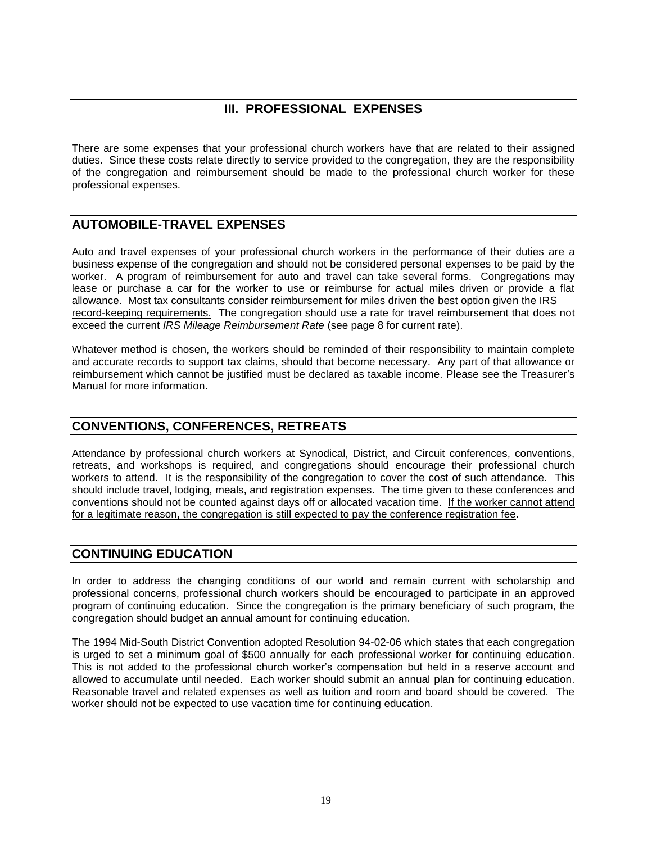# **III. PROFESSIONAL EXPENSES**

There are some expenses that your professional church workers have that are related to their assigned duties. Since these costs relate directly to service provided to the congregation, they are the responsibility of the congregation and reimbursement should be made to the professional church worker for these professional expenses.

# **AUTOMOBILE-TRAVEL EXPENSES**

Auto and travel expenses of your professional church workers in the performance of their duties are a business expense of the congregation and should not be considered personal expenses to be paid by the worker. A program of reimbursement for auto and travel can take several forms. Congregations may lease or purchase a car for the worker to use or reimburse for actual miles driven or provide a flat allowance. Most tax consultants consider reimbursement for miles driven the best option given the IRS record-keeping requirements. The congregation should use a rate for travel reimbursement that does not exceed the current *IRS Mileage Reimbursement Rate* (see page 8 for current rate).

Whatever method is chosen, the workers should be reminded of their responsibility to maintain complete and accurate records to support tax claims, should that become necessary. Any part of that allowance or reimbursement which cannot be justified must be declared as taxable income. Please see the Treasurer's Manual for more information.

# **CONVENTIONS, CONFERENCES, RETREATS**

Attendance by professional church workers at Synodical, District, and Circuit conferences, conventions, retreats, and workshops is required, and congregations should encourage their professional church workers to attend. It is the responsibility of the congregation to cover the cost of such attendance. This should include travel, lodging, meals, and registration expenses. The time given to these conferences and conventions should not be counted against days off or allocated vacation time. If the worker cannot attend for a legitimate reason, the congregation is still expected to pay the conference registration fee.

### **CONTINUING EDUCATION**

In order to address the changing conditions of our world and remain current with scholarship and professional concerns, professional church workers should be encouraged to participate in an approved program of continuing education. Since the congregation is the primary beneficiary of such program, the congregation should budget an annual amount for continuing education.

The 1994 Mid-South District Convention adopted Resolution 94-02-06 which states that each congregation is urged to set a minimum goal of \$500 annually for each professional worker for continuing education. This is not added to the professional church worker's compensation but held in a reserve account and allowed to accumulate until needed. Each worker should submit an annual plan for continuing education. Reasonable travel and related expenses as well as tuition and room and board should be covered. The worker should not be expected to use vacation time for continuing education.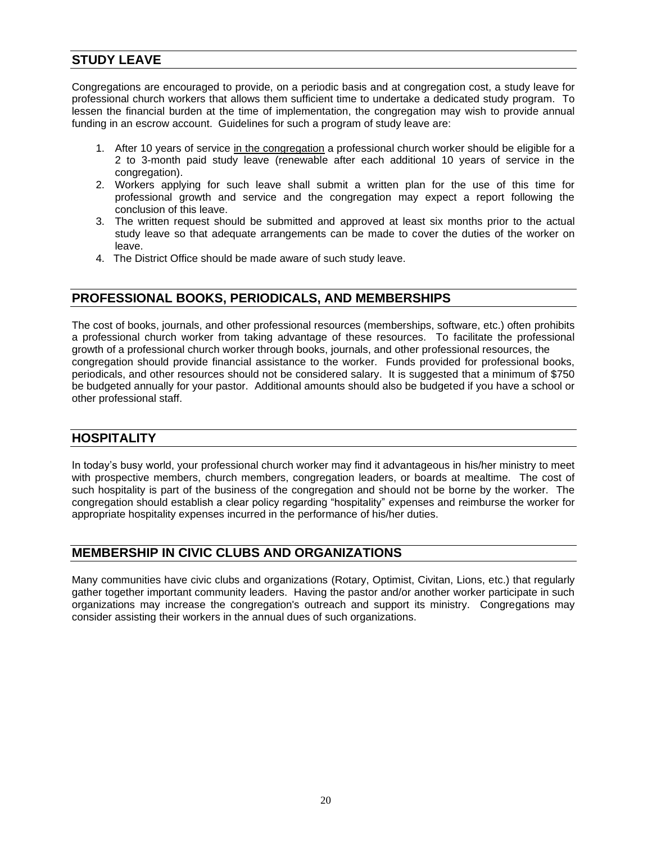# **STUDY LEAVE**

Congregations are encouraged to provide, on a periodic basis and at congregation cost, a study leave for professional church workers that allows them sufficient time to undertake a dedicated study program. To lessen the financial burden at the time of implementation, the congregation may wish to provide annual funding in an escrow account. Guidelines for such a program of study leave are:

- 1. After 10 years of service in the congregation a professional church worker should be eligible for a 2 to 3-month paid study leave (renewable after each additional 10 years of service in the congregation).
- 2. Workers applying for such leave shall submit a written plan for the use of this time for professional growth and service and the congregation may expect a report following the conclusion of this leave.
- 3. The written request should be submitted and approved at least six months prior to the actual study leave so that adequate arrangements can be made to cover the duties of the worker on leave.
- 4. The District Office should be made aware of such study leave.

# **PROFESSIONAL BOOKS, PERIODICALS, AND MEMBERSHIPS**

The cost of books, journals, and other professional resources (memberships, software, etc.) often prohibits a professional church worker from taking advantage of these resources. To facilitate the professional growth of a professional church worker through books, journals, and other professional resources, the congregation should provide financial assistance to the worker. Funds provided for professional books, periodicals, and other resources should not be considered salary. It is suggested that a minimum of \$750 be budgeted annually for your pastor. Additional amounts should also be budgeted if you have a school or other professional staff.

# **HOSPITALITY**

In today's busy world, your professional church worker may find it advantageous in his/her ministry to meet with prospective members, church members, congregation leaders, or boards at mealtime. The cost of such hospitality is part of the business of the congregation and should not be borne by the worker. The congregation should establish a clear policy regarding "hospitality" expenses and reimburse the worker for appropriate hospitality expenses incurred in the performance of his/her duties.

### **MEMBERSHIP IN CIVIC CLUBS AND ORGANIZATIONS**

Many communities have civic clubs and organizations (Rotary, Optimist, Civitan, Lions, etc.) that regularly gather together important community leaders. Having the pastor and/or another worker participate in such organizations may increase the congregation's outreach and support its ministry. Congregations may consider assisting their workers in the annual dues of such organizations.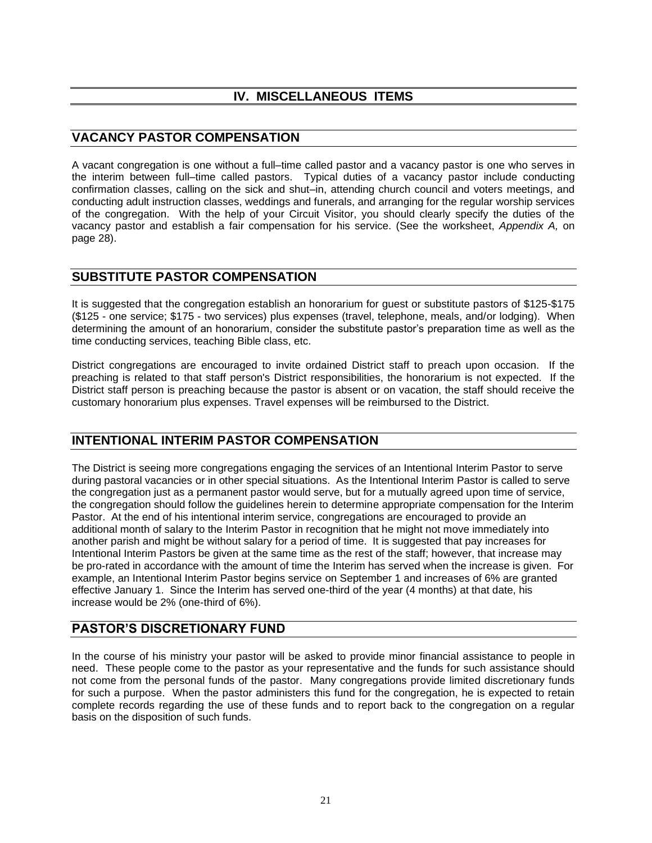# **IV. MISCELLANEOUS ITEMS**

# **VACANCY PASTOR COMPENSATION**

A vacant congregation is one without a full–time called pastor and a vacancy pastor is one who serves in the interim between full–time called pastors. Typical duties of a vacancy pastor include conducting confirmation classes, calling on the sick and shut–in, attending church council and voters meetings, and conducting adult instruction classes, weddings and funerals, and arranging for the regular worship services of the congregation. With the help of your Circuit Visitor, you should clearly specify the duties of the vacancy pastor and establish a fair compensation for his service. (See the worksheet, *Appendix A,* on page 28).

# **SUBSTITUTE PASTOR COMPENSATION**

It is suggested that the congregation establish an honorarium for guest or substitute pastors of \$125-\$175 (\$125 - one service; \$175 - two services) plus expenses (travel, telephone, meals, and/or lodging). When determining the amount of an honorarium, consider the substitute pastor's preparation time as well as the time conducting services, teaching Bible class, etc.

District congregations are encouraged to invite ordained District staff to preach upon occasion. If the preaching is related to that staff person's District responsibilities, the honorarium is not expected. If the District staff person is preaching because the pastor is absent or on vacation, the staff should receive the customary honorarium plus expenses. Travel expenses will be reimbursed to the District.

# **INTENTIONAL INTERIM PASTOR COMPENSATION**

The District is seeing more congregations engaging the services of an Intentional Interim Pastor to serve during pastoral vacancies or in other special situations. As the Intentional Interim Pastor is called to serve the congregation just as a permanent pastor would serve, but for a mutually agreed upon time of service, the congregation should follow the guidelines herein to determine appropriate compensation for the Interim Pastor. At the end of his intentional interim service, congregations are encouraged to provide an additional month of salary to the Interim Pastor in recognition that he might not move immediately into another parish and might be without salary for a period of time. It is suggested that pay increases for Intentional Interim Pastors be given at the same time as the rest of the staff; however, that increase may be pro-rated in accordance with the amount of time the Interim has served when the increase is given. For example, an Intentional Interim Pastor begins service on September 1 and increases of 6% are granted effective January 1. Since the Interim has served one-third of the year (4 months) at that date, his increase would be 2% (one-third of 6%).

# **PASTOR'S DISCRETIONARY FUND**

In the course of his ministry your pastor will be asked to provide minor financial assistance to people in need. These people come to the pastor as your representative and the funds for such assistance should not come from the personal funds of the pastor. Many congregations provide limited discretionary funds for such a purpose. When the pastor administers this fund for the congregation, he is expected to retain complete records regarding the use of these funds and to report back to the congregation on a regular basis on the disposition of such funds.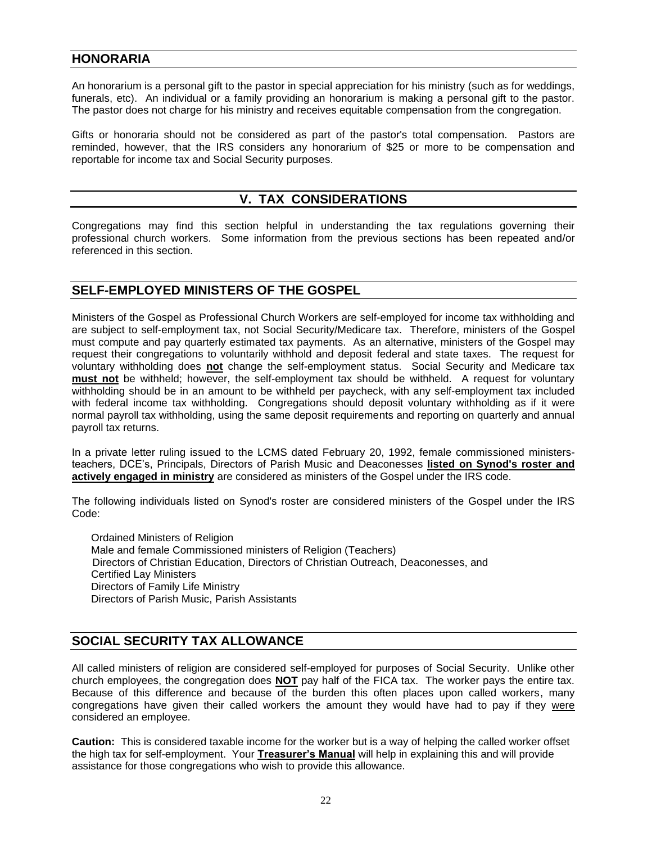# **HONORARIA**

An honorarium is a personal gift to the pastor in special appreciation for his ministry (such as for weddings, funerals, etc). An individual or a family providing an honorarium is making a personal gift to the pastor. The pastor does not charge for his ministry and receives equitable compensation from the congregation.

Gifts or honoraria should not be considered as part of the pastor's total compensation. Pastors are reminded, however, that the IRS considers any honorarium of \$25 or more to be compensation and reportable for income tax and Social Security purposes.

# **V. TAX CONSIDERATIONS**

Congregations may find this section helpful in understanding the tax regulations governing their professional church workers. Some information from the previous sections has been repeated and/or referenced in this section.

# **SELF-EMPLOYED MINISTERS OF THE GOSPEL**

Ministers of the Gospel as Professional Church Workers are self-employed for income tax withholding and are subject to self-employment tax, not Social Security/Medicare tax. Therefore, ministers of the Gospel must compute and pay quarterly estimated tax payments. As an alternative, ministers of the Gospel may request their congregations to voluntarily withhold and deposit federal and state taxes. The request for voluntary withholding does **not** change the self-employment status. Social Security and Medicare tax **must not** be withheld; however, the self-employment tax should be withheld. A request for voluntary withholding should be in an amount to be withheld per paycheck, with any self-employment tax included with federal income tax withholding. Congregations should deposit voluntary withholding as if it were normal payroll tax withholding, using the same deposit requirements and reporting on quarterly and annual payroll tax returns.

In a private letter ruling issued to the LCMS dated February 20, 1992, female commissioned ministersteachers, DCE's, Principals, Directors of Parish Music and Deaconesses **listed on Synod's roster and actively engaged in ministry** are considered as ministers of the Gospel under the IRS code.

The following individuals listed on Synod's roster are considered ministers of the Gospel under the IRS Code:

Ordained Ministers of Religion Male and female Commissioned ministers of Religion (Teachers) Directors of Christian Education, Directors of Christian Outreach, Deaconesses, and Certified Lay Ministers Directors of Family Life Ministry Directors of Parish Music, Parish Assistants

# **SOCIAL SECURITY TAX ALLOWANCE**

All called ministers of religion are considered self-employed for purposes of Social Security. Unlike other church employees, the congregation does **NOT** pay half of the FICA tax. The worker pays the entire tax. Because of this difference and because of the burden this often places upon called workers, many congregations have given their called workers the amount they would have had to pay if they were considered an employee.

**Caution:** This is considered taxable income for the worker but is a way of helping the called worker offset the high tax for self-employment. Your **Treasurer's Manual** will help in explaining this and will provide assistance for those congregations who wish to provide this allowance.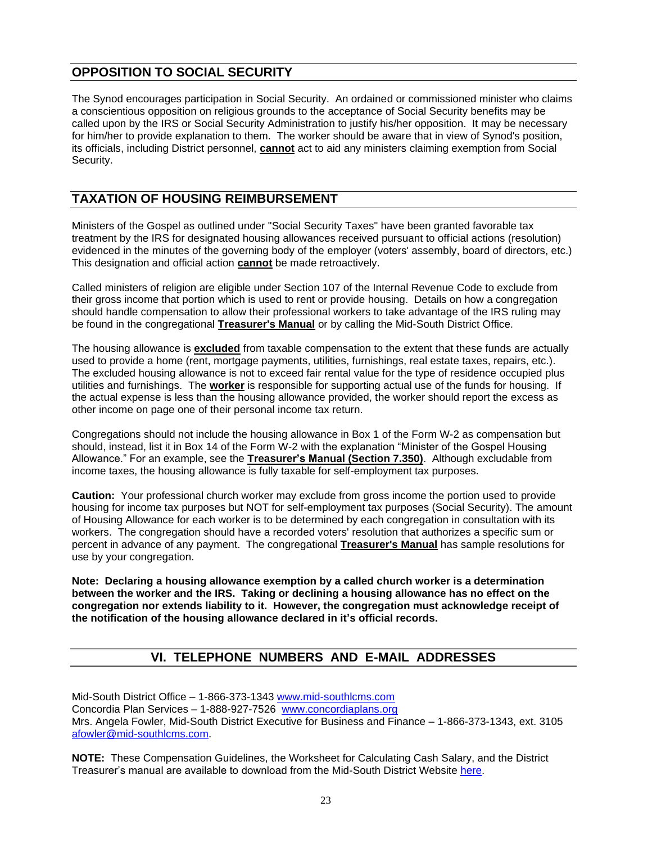# **OPPOSITION TO SOCIAL SECURITY**

The Synod encourages participation in Social Security. An ordained or commissioned minister who claims a conscientious opposition on religious grounds to the acceptance of Social Security benefits may be called upon by the IRS or Social Security Administration to justify his/her opposition. It may be necessary for him/her to provide explanation to them. The worker should be aware that in view of Synod's position, its officials, including District personnel, **cannot** act to aid any ministers claiming exemption from Social Security.

# **TAXATION OF HOUSING REIMBURSEMENT**

Ministers of the Gospel as outlined under "Social Security Taxes" have been granted favorable tax treatment by the IRS for designated housing allowances received pursuant to official actions (resolution) evidenced in the minutes of the governing body of the employer (voters' assembly, board of directors, etc.) This designation and official action **cannot** be made retroactively.

Called ministers of religion are eligible under Section 107 of the Internal Revenue Code to exclude from their gross income that portion which is used to rent or provide housing. Details on how a congregation should handle compensation to allow their professional workers to take advantage of the IRS ruling may be found in the congregational **Treasurer's Manual** or by calling the Mid-South District Office.

The housing allowance is **excluded** from taxable compensation to the extent that these funds are actually used to provide a home (rent, mortgage payments, utilities, furnishings, real estate taxes, repairs, etc.). The excluded housing allowance is not to exceed fair rental value for the type of residence occupied plus utilities and furnishings. The **worker** is responsible for supporting actual use of the funds for housing. If the actual expense is less than the housing allowance provided, the worker should report the excess as other income on page one of their personal income tax return.

Congregations should not include the housing allowance in Box 1 of the Form W-2 as compensation but should, instead, list it in Box 14 of the Form W-2 with the explanation "Minister of the Gospel Housing Allowance." For an example, see the **Treasurer's Manual (Section 7.350)**. Although excludable from income taxes, the housing allowance is fully taxable for self-employment tax purposes.

**Caution:** Your professional church worker may exclude from gross income the portion used to provide housing for income tax purposes but NOT for self-employment tax purposes (Social Security). The amount of Housing Allowance for each worker is to be determined by each congregation in consultation with its workers. The congregation should have a recorded voters' resolution that authorizes a specific sum or percent in advance of any payment. The congregational **Treasurer's Manual** has sample resolutions for use by your congregation.

**Note: Declaring a housing allowance exemption by a called church worker is a determination between the worker and the IRS. Taking or declining a housing allowance has no effect on the congregation nor extends liability to it. However, the congregation must acknowledge receipt of the notification of the housing allowance declared in it's official records.** 

# **VI. TELEPHONE NUMBERS AND E-MAIL ADDRESSES**

Mid-South District Office – 1-866-373-1343 www.mid-southlcms.com Concordia Plan Services – 1-888-927-7526 www.concordiaplans.org Mrs. Angela Fowler, Mid-South District Executive for Business and Finance – 1-866-373-1343, ext. 3105 [afowler@mid-southlcms.com.](mailto:afowler@mid-southlcms.com)

**NOTE:** These Compensation Guidelines, the Worksheet for Calculating Cash Salary, and the District Treasurer's manual are available to download from the Mid-South District Website [here.](https://mid-southlcms.org/wp-content/uploads/2019/09/District-Compensation-Guidelines-2020-Revised-August-2019.pdf)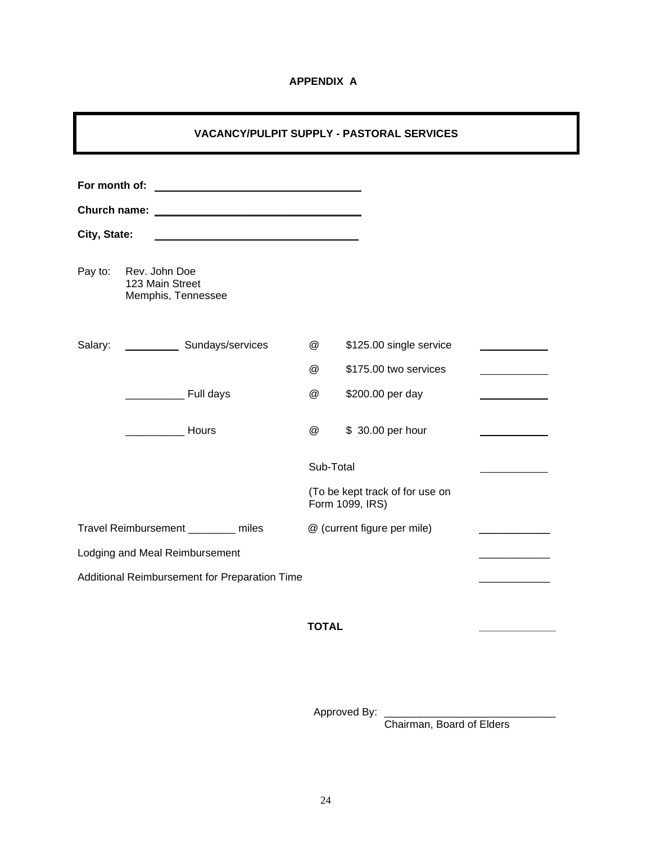#### **APPENDIX A**

|                                |                                                                                                                       |                | <b>VACANCY/PULPIT SUPPLY - PASTORAL SERVICES</b>   |  |
|--------------------------------|-----------------------------------------------------------------------------------------------------------------------|----------------|----------------------------------------------------|--|
| City, State:                   | <u> 1989 - Johann Barbara, martin amerikan basar dan basa dan basa dan basa dalam basa dan basa dan basa dalam ba</u> |                |                                                    |  |
| Pay to:                        | Rev. John Doe<br>123 Main Street<br>Memphis, Tennessee                                                                |                |                                                    |  |
| Salary:                        | Sundays/services                                                                                                      | $^{\circledR}$ | \$125.00 single service                            |  |
|                                |                                                                                                                       | $^{\circledR}$ | \$175.00 two services                              |  |
|                                | <b>Example 2</b> Full days                                                                                            | $\omega$       | \$200.00 per day                                   |  |
|                                | Hours                                                                                                                 | $\omega$       | \$ 30.00 per hour                                  |  |
|                                |                                                                                                                       | Sub-Total      |                                                    |  |
|                                |                                                                                                                       |                | (To be kept track of for use on<br>Form 1099, IRS) |  |
|                                | Travel Reimbursement ________ miles                                                                                   |                | @ (current figure per mile)                        |  |
| Lodging and Meal Reimbursement |                                                                                                                       |                |                                                    |  |
|                                | Additional Reimbursement for Preparation Time                                                                         |                |                                                    |  |

**TOTAL \_\_\_\_\_\_\_\_\_\_\_\_\_**

Approved By: \_\_\_\_\_\_\_\_\_\_\_\_\_\_\_\_\_\_\_\_\_\_\_\_\_\_\_\_\_

Chairman, Board of Elders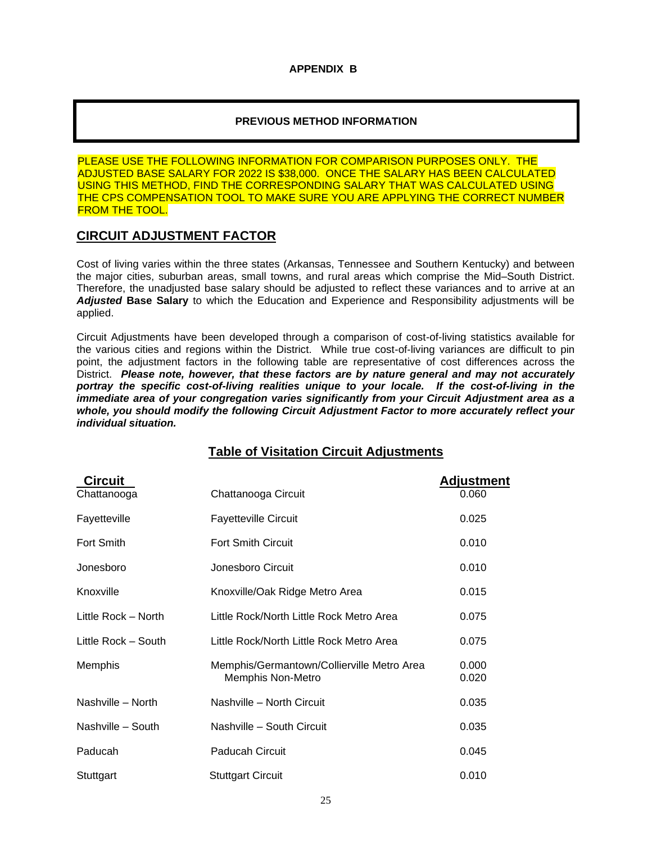#### **APPENDIX B**

#### **PREVIOUS METHOD INFORMATION**

PLEASE USE THE FOLLOWING INFORMATION FOR COMPARISON PURPOSES ONLY. THE ADJUSTED BASE SALARY FOR 2022 IS \$38,000. ONCE THE SALARY HAS BEEN CALCULATED USING THIS METHOD, FIND THE CORRESPONDING SALARY THAT WAS CALCULATED USING THE CPS COMPENSATION TOOL TO MAKE SURE YOU ARE APPLYING THE CORRECT NUMBER FROM THE TOOL.

# **CIRCUIT ADJUSTMENT FACTOR**

Cost of living varies within the three states (Arkansas, Tennessee and Southern Kentucky) and between the major cities, suburban areas, small towns, and rural areas which comprise the Mid–South District. Therefore, the unadjusted base salary should be adjusted to reflect these variances and to arrive at an *Adjusted* **Base Salary** to which the Education and Experience and Responsibility adjustments will be applied.

Circuit Adjustments have been developed through a comparison of cost-of-living statistics available for the various cities and regions within the District. While true cost-of-living variances are difficult to pin point, the adjustment factors in the following table are representative of cost differences across the District. *Please note, however, that these factors are by nature general and may not accurately portray the specific cost-of-living realities unique to your locale. If the cost-of-living in the immediate area of your congregation varies significantly from your Circuit Adjustment area as a whole, you should modify the following Circuit Adjustment Factor to more accurately reflect your individual situation.*

| <b>Circuit</b>      |                                                                 | <b>Adjustment</b> |
|---------------------|-----------------------------------------------------------------|-------------------|
| Chattanooga         | Chattanooga Circuit                                             | 0.060             |
| Fayetteville        | <b>Fayetteville Circuit</b>                                     | 0.025             |
| Fort Smith          | <b>Fort Smith Circuit</b>                                       | 0.010             |
| Jonesboro           | Jonesboro Circuit                                               | 0.010             |
| Knoxville           | Knoxville/Oak Ridge Metro Area                                  | 0.015             |
| Little Rock – North | Little Rock/North Little Rock Metro Area                        | 0.075             |
| Little Rock - South | Little Rock/North Little Rock Metro Area                        | 0.075             |
| <b>Memphis</b>      | Memphis/Germantown/Collierville Metro Area<br>Memphis Non-Metro | 0.000<br>0.020    |
| Nashville - North   | Nashville - North Circuit                                       | 0.035             |
| Nashville - South   | Nashville - South Circuit                                       | 0.035             |
| Paducah             | Paducah Circuit                                                 | 0.045             |
| Stuttgart           | <b>Stuttgart Circuit</b>                                        | 0.010             |

# **Table of Visitation Circuit Adjustments**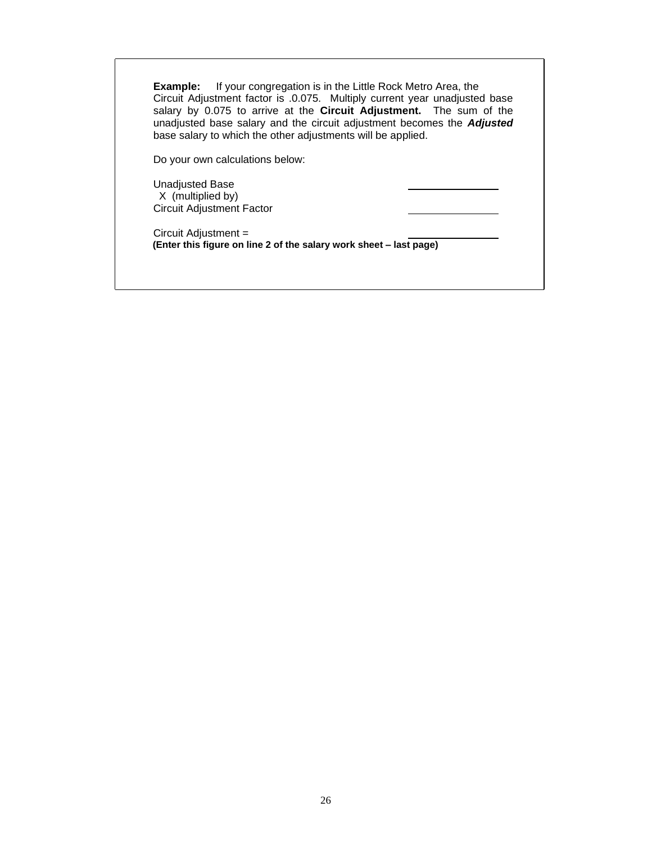**Example:** If your congregation is in the Little Rock Metro Area, the Circuit Adjustment factor is .0.075. Multiply current year unadjusted base salary by 0.075 to arrive at the **Circuit Adjustment.** The sum of the unadjusted base salary and the circuit adjustment becomes the *Adjusted* base salary to which the other adjustments will be applied.

Do your own calculations below:

Unadjusted Base X (multiplied by) Circuit Adjustment Factor

Circuit Adjustment = **(Enter this figure on line 2 of the salary work sheet – last page)**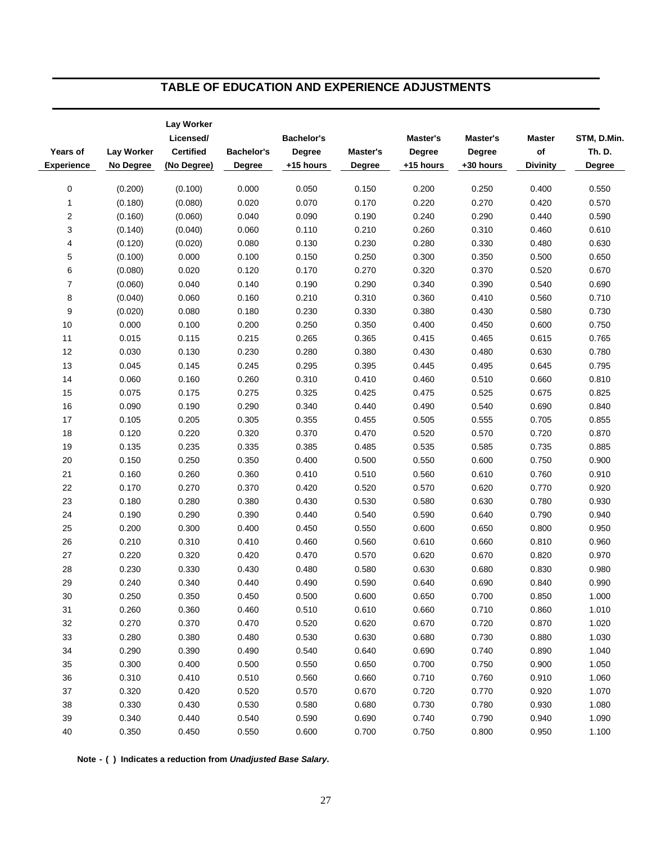# **TABLE OF EDUCATION AND EXPERIENCE ADJUSTMENTS**

|                   |                   | Lay Worker<br>Licensed/ |                   | <b>Bachelor's</b> |                 | Master's  | Master's  | <b>Master</b>   | STM, D.Min.   |
|-------------------|-------------------|-------------------------|-------------------|-------------------|-----------------|-----------|-----------|-----------------|---------------|
| Years of          | <b>Lay Worker</b> | <b>Certified</b>        | <b>Bachelor's</b> | <b>Degree</b>     | <b>Master's</b> | Degree    | Degree    | $\mathsf{of}$   | <b>Th. D.</b> |
| <b>Experience</b> | No Degree         | (No Degree)             | Degree            | +15 hours         | <b>Degree</b>   | +15 hours | +30 hours | <b>Divinity</b> | Degree        |
|                   | (0.200)           | (0.100)                 | 0.000             | 0.050             | 0.150           | 0.200     | 0.250     | 0.400           | 0.550         |
| 0                 |                   |                         |                   |                   |                 |           |           |                 |               |
| $\mathbf{1}$      | (0.180)           | (0.080)                 | 0.020             | 0.070             | 0.170           | 0.220     | 0.270     | 0.420           | 0.570         |
| 2                 | (0.160)           | (0.060)                 | 0.040             | 0.090             | 0.190           | 0.240     | 0.290     | 0.440           | 0.590         |
| 3                 | (0.140)           | (0.040)                 | 0.060             | 0.110             | 0.210           | 0.260     | 0.310     | 0.460           | 0.610         |
| 4                 | (0.120)           | (0.020)                 | 0.080             | 0.130             | 0.230           | 0.280     | 0.330     | 0.480           | 0.630         |
| 5                 | (0.100)           | 0.000                   | 0.100             | 0.150             | 0.250           | 0.300     | 0.350     | 0.500           | 0.650         |
| 6                 | (0.080)           | 0.020                   | 0.120             | 0.170             | 0.270           | 0.320     | 0.370     | 0.520           | 0.670         |
| $\overline{7}$    | (0.060)           | 0.040                   | 0.140             | 0.190             | 0.290           | 0.340     | 0.390     | 0.540           | 0.690         |
| 8                 | (0.040)           | 0.060                   | 0.160             | 0.210             | 0.310           | 0.360     | 0.410     | 0.560           | 0.710         |
| 9                 | (0.020)           | 0.080                   | 0.180             | 0.230             | 0.330           | 0.380     | 0.430     | 0.580           | 0.730         |
| 10                | 0.000             | 0.100                   | 0.200             | 0.250             | 0.350           | 0.400     | 0.450     | 0.600           | 0.750         |
| 11                | 0.015             | 0.115                   | 0.215             | 0.265             | 0.365           | 0.415     | 0.465     | 0.615           | 0.765         |
| 12                | 0.030             | 0.130                   | 0.230             | 0.280             | 0.380           | 0.430     | 0.480     | 0.630           | 0.780         |
| 13                | 0.045             | 0.145                   | 0.245             | 0.295             | 0.395           | 0.445     | 0.495     | 0.645           | 0.795         |
| 14                | 0.060             | 0.160                   | 0.260             | 0.310             | 0.410           | 0.460     | 0.510     | 0.660           | 0.810         |
| 15                | 0.075             | 0.175                   | 0.275             | 0.325             | 0.425           | 0.475     | 0.525     | 0.675           | 0.825         |
| 16                | 0.090             | 0.190                   | 0.290             | 0.340             | 0.440           | 0.490     | 0.540     | 0.690           | 0.840         |
| 17                | 0.105             | 0.205                   | 0.305             | 0.355             | 0.455           | 0.505     | 0.555     | 0.705           | 0.855         |
| 18                | 0.120             | 0.220                   | 0.320             | 0.370             | 0.470           | 0.520     | 0.570     | 0.720           | 0.870         |
| 19                | 0.135             | 0.235                   | 0.335             | 0.385             | 0.485           | 0.535     | 0.585     | 0.735           | 0.885         |
| $20\,$            | 0.150             | 0.250                   | 0.350             | 0.400             | 0.500           | 0.550     | 0.600     | 0.750           | 0.900         |
| 21                | 0.160             | 0.260                   | 0.360             | 0.410             | 0.510           | 0.560     | 0.610     | 0.760           | 0.910         |
| 22                | 0.170             | 0.270                   | 0.370             | 0.420             | 0.520           | 0.570     | 0.620     | 0.770           | 0.920         |
| 23                | 0.180             | 0.280                   | 0.380             | 0.430             | 0.530           | 0.580     | 0.630     | 0.780           | 0.930         |
| 24                | 0.190             | 0.290                   | 0.390             | 0.440             | 0.540           | 0.590     | 0.640     | 0.790           | 0.940         |
| 25                | 0.200             | 0.300                   | 0.400             | 0.450             | 0.550           | 0.600     | 0.650     | 0.800           | 0.950         |
| 26                | 0.210             | 0.310                   | 0.410             | 0.460             | 0.560           | 0.610     | 0.660     | 0.810           | 0.960         |
| 27                | 0.220             | 0.320                   | 0.420             | 0.470             | 0.570           | 0.620     | 0.670     | 0.820           | 0.970         |
| 28                | 0.230             | 0.330                   | 0.430             | 0.480             | 0.580           | 0.630     | 0.680     | 0.830           | 0.980         |
| 29                | 0.240             | 0.340                   | 0.440             | 0.490             | 0.590           | 0.640     | 0.690     | 0.840           | 0.990         |
| 30                | 0.250             | 0.350                   | 0.450             | 0.500             | 0.600           | 0.650     | 0.700     | 0.850           | 1.000         |
| 31                | 0.260             | 0.360                   | 0.460             | 0.510             | 0.610           | 0.660     | 0.710     | 0.860           | 1.010         |
| 32                | 0.270             | 0.370                   | 0.470             | 0.520             | 0.620           | 0.670     | 0.720     | 0.870           | 1.020         |
| 33                | 0.280             | 0.380                   | 0.480             | 0.530             | 0.630           | 0.680     | 0.730     | 0.880           | 1.030         |
| 34                | 0.290             | 0.390                   | 0.490             | 0.540             | 0.640           | 0.690     | 0.740     | 0.890           | 1.040         |
| 35                | 0.300             | 0.400                   | 0.500             | 0.550             | 0.650           | 0.700     | 0.750     | 0.900           | 1.050         |
| 36                | 0.310             | 0.410                   | 0.510             | 0.560             | 0.660           | 0.710     | 0.760     | 0.910           | 1.060         |
| 37                | 0.320             | 0.420                   | 0.520             | 0.570             | 0.670           | 0.720     | 0.770     | 0.920           | 1.070         |
| 38                | 0.330             | 0.430                   | 0.530             | 0.580             | 0.680           | 0.730     | 0.780     | 0.930           | 1.080         |
| 39                | 0.340             | 0.440                   | 0.540             | 0.590             | 0.690           | 0.740     | 0.790     | 0.940           | 1.090         |
| 40                | 0.350             | 0.450                   | 0.550             | 0.600             | 0.700           | 0.750     | 0.800     | 0.950           | 1.100         |
|                   |                   |                         |                   |                   |                 |           |           |                 |               |

**Note - ( ) Indicates a reduction from** *Unadjusted Base Salary***.**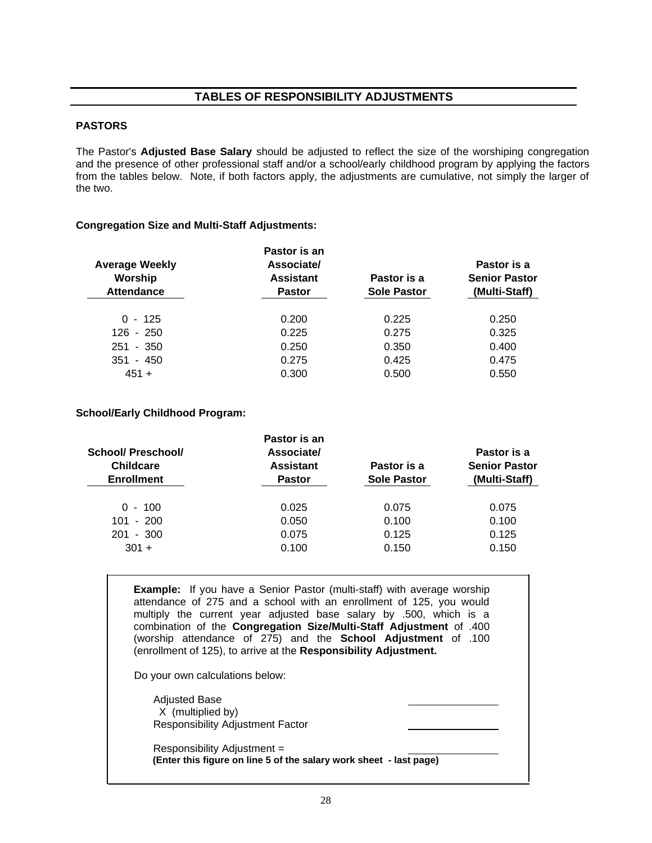#### **TABLES OF RESPONSIBILITY ADJUSTMENTS**

#### **PASTORS**

The Pastor's **Adjusted Base Salary** should be adjusted to reflect the size of the worshiping congregation and the presence of other professional staff and/or a school/early childhood program by applying the factors from the tables below. Note, if both factors apply, the adjustments are cumulative, not simply the larger of the two.

#### **Congregation Size and Multi-Staff Adjustments:**

|                       | Pastor is an     |                    |                      |
|-----------------------|------------------|--------------------|----------------------|
| <b>Average Weekly</b> | Associate/       |                    | Pastor is a          |
| Worship               | <b>Assistant</b> | Pastor is a        | <b>Senior Pastor</b> |
| <b>Attendance</b>     | <b>Pastor</b>    | <b>Sole Pastor</b> | (Multi-Staff)        |
| $0 - 125$             | 0.200            | 0.225              | 0.250                |
| $126 - 250$           | 0.225            | 0.275              | 0.325                |
| $251 - 350$           | 0.250            | 0.350              | 0.400                |
| $351 - 450$           | 0.275            | 0.425              | 0.475                |
| $451 +$               | 0.300            | 0.500              | 0.550                |

#### **School/Early Childhood Program:**

|                    | Pastor is an     |                    |                      |
|--------------------|------------------|--------------------|----------------------|
| School/ Preschool/ | Associate/       |                    | Pastor is a          |
| <b>Childcare</b>   | <b>Assistant</b> | Pastor is a        | <b>Senior Pastor</b> |
| <b>Enrollment</b>  | <b>Pastor</b>    | <b>Sole Pastor</b> | (Multi-Staff)        |
| $0 - 100$          | 0.025            | 0.075              | 0.075                |
| $101 - 200$        | 0.050            | 0.100              | 0.100                |
| $201 - 300$        | 0.075            | 0.125              | 0.125                |
| $301 +$            | 0.100            | 0.150              | 0.150                |
|                    |                  |                    |                      |

**Example:** If you have a Senior Pastor (multi-staff) with average worship attendance of 275 and a school with an enrollment of 125, you would multiply the current year adjusted base salary by .500, which is a combination of the **Congregation Size/Multi-Staff Adjustment** of .400 (worship attendance of 275) and the **School Adjustment** of .100 (enrollment of 125), to arrive at the **Responsibility Adjustment.**

Do your own calculations below:

Adjusted Base X (multiplied by) Responsibility Adjustment Factor

Responsibility Adjustment = **(Enter this figure on line 5 of the salary work sheet - last page)**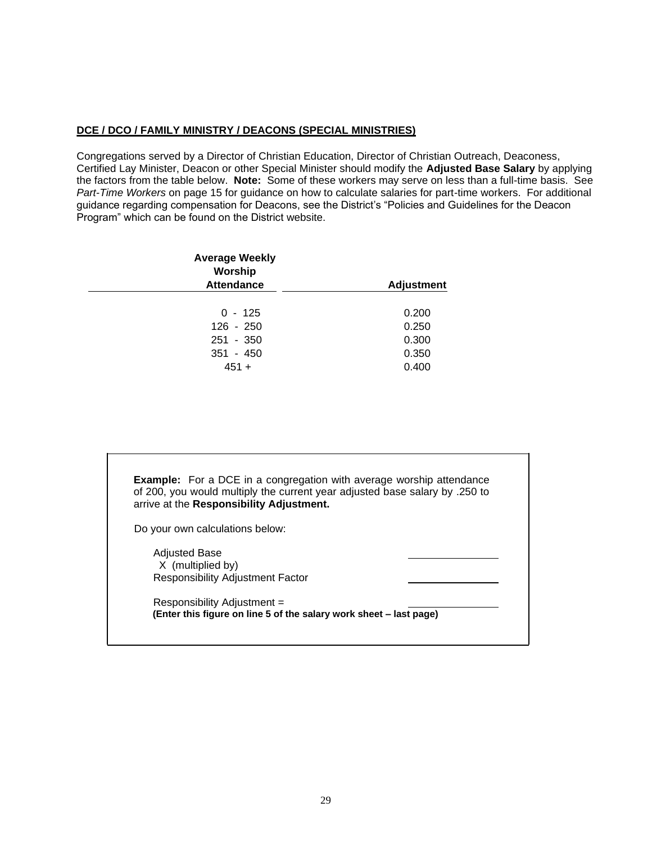#### **DCE / DCO / FAMILY MINISTRY / DEACONS (SPECIAL MINISTRIES)**

Congregations served by a Director of Christian Education, Director of Christian Outreach, Deaconess, Certified Lay Minister, Deacon or other Special Minister should modify the **Adjusted Base Salary** by applying the factors from the table below. **Note:** Some of these workers may serve on less than a full-time basis. See *Part-Time Workers* on page 15 for guidance on how to calculate salaries for part-time workers. For additional guidance regarding compensation for Deacons, see the District's "Policies and Guidelines for the Deacon Program" which can be found on the District website.

| <b>Average Weekly</b><br>Worship<br><b>Attendance</b> | <b>Adjustment</b> |
|-------------------------------------------------------|-------------------|
|                                                       |                   |
| $0 - 125$                                             | 0.200             |
| $126 - 250$                                           | 0.250             |
| $251 - 350$                                           | 0.300             |
| $351 - 450$                                           | 0.350             |
| $451 +$                                               | 0.400             |

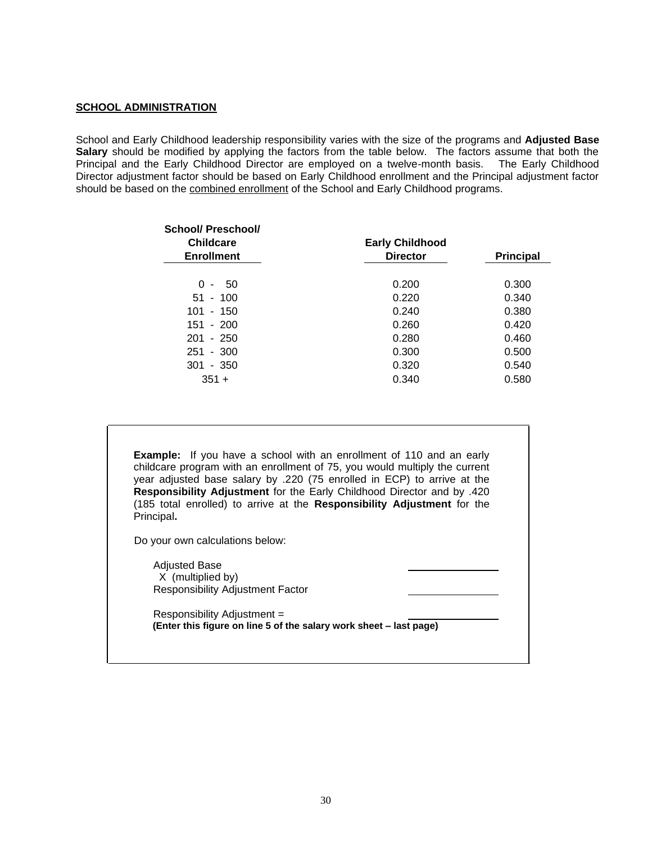#### **SCHOOL ADMINISTRATION**

School and Early Childhood leadership responsibility varies with the size of the programs and **Adjusted Base Salary** should be modified by applying the factors from the table below. The factors assume that both the Principal and the Early Childhood Director are employed on a twelve-month basis. The Early Childhood Director adjustment factor should be based on Early Childhood enrollment and the Principal adjustment factor should be based on the combined enrollment of the School and Early Childhood programs.

| School/ Preschool/<br><b>Childcare</b> | <b>Early Childhood</b> |                  |
|----------------------------------------|------------------------|------------------|
| <b>Enrollment</b>                      | <b>Director</b>        | <b>Principal</b> |
| 0<br>50<br>$\sim$                      | 0.200                  | 0.300            |
| $51 - 100$                             | 0.220                  | 0.340            |
| $101 - 150$                            | 0.240                  | 0.380            |
| $151 - 200$                            | 0.260                  | 0.420            |
| $201 - 250$                            | 0.280                  | 0.460            |
| 251 - 300                              | 0.300                  | 0.500            |
| $301 - 350$                            | 0.320                  | 0.540            |
| $351 +$                                | 0.340                  | 0.580            |

**Example:** If you have a school with an enrollment of 110 and an early childcare program with an enrollment of 75, you would multiply the current year adjusted base salary by .220 (75 enrolled in ECP) to arrive at the **Responsibility Adjustment** for the Early Childhood Director and by .420 (185 total enrolled) to arrive at the **Responsibility Adjustment** for the Principal**.**

Do your own calculations below:

Adjusted Base X (multiplied by) Responsibility Adjustment Factor

Responsibility Adjustment = **(Enter this figure on line 5 of the salary work sheet – last page)**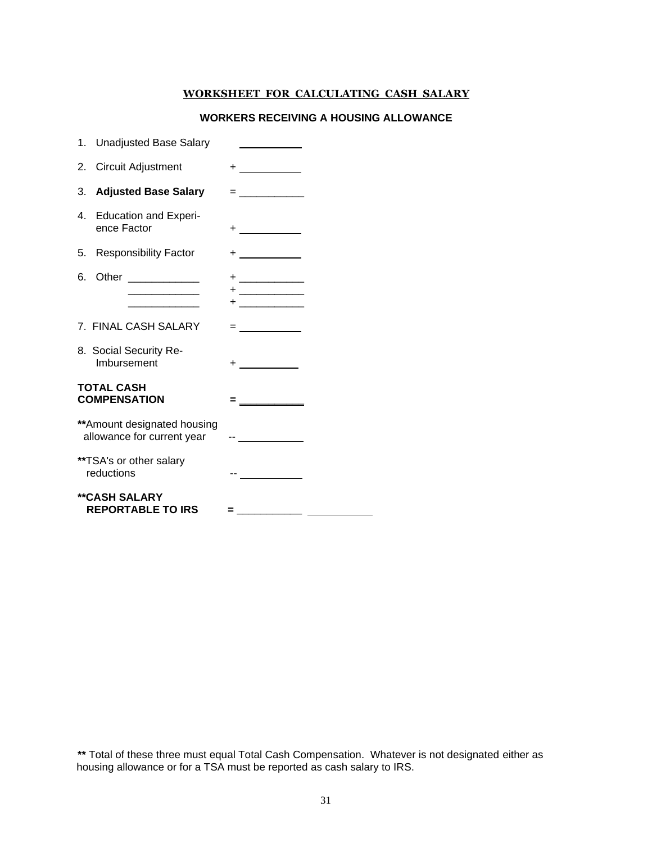#### **WORKSHEET FOR CALCULATING CASH SALARY**

#### **WORKERS RECEIVING A HOUSING ALLOWANCE**

|    | 1. Unadjusted Base Salary                                                |                                                                                                                                                                                                                               |  |
|----|--------------------------------------------------------------------------|-------------------------------------------------------------------------------------------------------------------------------------------------------------------------------------------------------------------------------|--|
| 2. | Circuit Adjustment                                                       |                                                                                                                                                                                                                               |  |
|    | 3. Adjusted Base Salary                                                  | <u> = _______________</u>                                                                                                                                                                                                     |  |
|    | 4. Education and Experi-<br>ence Factor                                  |                                                                                                                                                                                                                               |  |
|    | 5. Responsibility Factor                                                 | $+$ . The set of the set of the set of the set of the set of the set of the set of the set of the set of the set of the set of the set of the set of the set of the set of the set of the set of the set of the set of the se |  |
|    | 6. Other _______________<br>the control of the control of the control of |                                                                                                                                                                                                                               |  |
|    | 7. FINAL CASH SALARY                                                     | = ___________                                                                                                                                                                                                                 |  |
|    | 8. Social Security Re-<br>Imbursement                                    | $+$ $   -$                                                                                                                                                                                                                    |  |
|    | <b>TOTAL CASH</b><br><b>COMPENSATION</b>                                 |                                                                                                                                                                                                                               |  |
|    | ** Amount designated housing<br>allowance for current year               | een van die verwys van die v                                                                                                                                                                                                  |  |
|    | **TSA's or other salary<br>reductions                                    |                                                                                                                                                                                                                               |  |
|    | <b>**CASH SALARY</b><br><b>REPORTABLE TO IRS</b>                         | =                                                                                                                                                                                                                             |  |

**\*\*** Total of these three must equal Total Cash Compensation. Whatever is not designated either as housing allowance or for a TSA must be reported as cash salary to IRS.